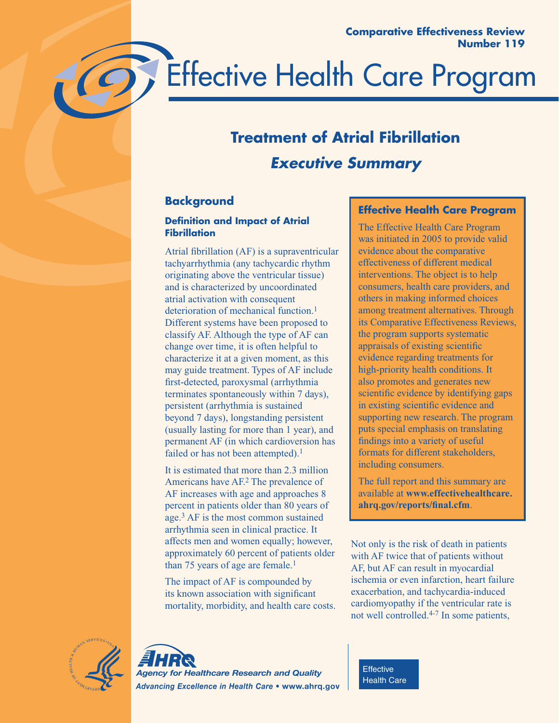

# **Treatment of Atrial Fibrillation** *Executive Summary*

# **Background**

### **Definition and Impact of Atrial Fibrillation**

Atrial fibrillation (AF) is a supraventricular tachyarrhythmia (any tachycardic rhythm originating above the ventricular tissue) and is characterized by uncoordinated atrial activation with consequent deterioration of mechanical function.<sup>1</sup> Different systems have been proposed to classify AF. Although the type of AF can change over time, it is often helpful to characterize it at a given moment, as this may guide treatment. Types of AF include first-detected, paroxysmal (arrhythmia terminates spontaneously within 7 days), persistent (arrhythmia is sustained beyond 7 days), longstanding persistent (usually lasting for more than 1 year), and permanent AF (in which cardioversion has failed or has not been attempted).<sup>1</sup>

It is estimated that more than 2.3 million Americans have AF.2 The prevalence of AF increases with age and approaches 8 percent in patients older than 80 years of age.3 AF is the most common sustained arrhythmia seen in clinical practice. It affects men and women equally; however, approximately 60 percent of patients older than 75 years of age are female.<sup>1</sup>

The impact of AF is compounded by its known association with significant mortality, morbidity, and health care costs.

### **Effective Health Care Program**

The Effective Health Care Program was initiated in 2005 to provide valid evidence about the comparative effectiveness of different medical interventions. The object is to help consumers, health care providers, and others in making informed choices among treatment alternatives. Through its Comparative Effectiveness Reviews, the program supports systematic appraisals of existing scientific evidence regarding treatments for high-priority health conditions. It also promotes and generates new scientific evidence by identifying gaps in existing scientific evidence and supporting new research. The program puts special emphasis on translating findings into a variety of useful formats for different stakeholders, including consumers.

The full report and this summary are available at **www.effectivehealthcare. ahrq.gov/reports/final.cfm**.

Not only is the risk of death in patients with AF twice that of patients without AF, but AF can result in myocardial ischemia or even infarction, heart failure exacerbation, and tachycardia-induced cardiomyopathy if the ventricular rate is not well controlled.4-7 In some patients,





**Effective** Health Care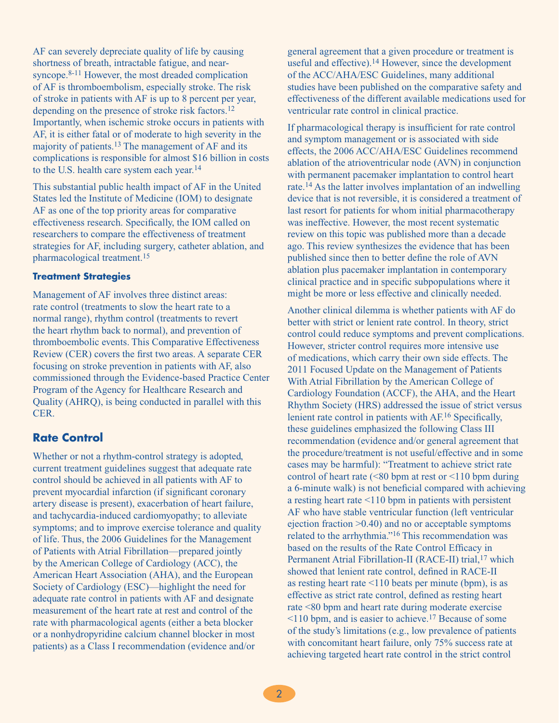AF can severely depreciate quality of life by causing shortness of breath, intractable fatigue, and nearsyncope.<sup>8-11</sup> However, the most dreaded complication of AF is thromboembolism, especially stroke. The risk of stroke in patients with AF is up to 8 percent per year, depending on the presence of stroke risk factors.12 Importantly, when ischemic stroke occurs in patients with AF, it is either fatal or of moderate to high severity in the majority of patients.13 The management of AF and its complications is responsible for almost \$16 billion in costs to the U.S. health care system each year.14

This substantial public health impact of AF in the United States led the Institute of Medicine (IOM) to designate AF as one of the top priority areas for comparative effectiveness research. Specifically, the IOM called on researchers to compare the effectiveness of treatment strategies for AF, including surgery, catheter ablation, and pharmacological treatment.15

#### **Treatment Strategies**

Management of AF involves three distinct areas: rate control (treatments to slow the heart rate to a normal range), rhythm control (treatments to revert the heart rhythm back to normal), and prevention of thromboembolic events. This Comparative Effectiveness Review (CER) covers the first two areas. A separate CER focusing on stroke prevention in patients with AF, also commissioned through the Evidence-based Practice Center Program of the Agency for Healthcare Research and Quality (AHRQ), is being conducted in parallel with this CER.

### **Rate Control**

Whether or not a rhythm-control strategy is adopted, current treatment guidelines suggest that adequate rate control should be achieved in all patients with AF to prevent myocardial infarction (if significant coronary artery disease is present), exacerbation of heart failure, and tachycardia-induced cardiomyopathy; to alleviate symptoms; and to improve exercise tolerance and quality of life. Thus, the 2006 Guidelines for the Management of Patients with Atrial Fibrillation—prepared jointly by the American College of Cardiology (ACC), the American Heart Association (AHA), and the European Society of Cardiology (ESC)—highlight the need for adequate rate control in patients with AF and designate measurement of the heart rate at rest and control of the rate with pharmacological agents (either a beta blocker or a nonhydropyridine calcium channel blocker in most patients) as a Class I recommendation (evidence and/or

general agreement that a given procedure or treatment is useful and effective).14 However, since the development of the ACC/AHA/ESC Guidelines, many additional studies have been published on the comparative safety and effectiveness of the different available medications used for ventricular rate control in clinical practice.

If pharmacological therapy is insufficient for rate control and symptom management or is associated with side effects, the 2006 ACC/AHA/ESC Guidelines recommend ablation of the atrioventricular node (AVN) in conjunction with permanent pacemaker implantation to control heart rate.14 As the latter involves implantation of an indwelling device that is not reversible, it is considered a treatment of last resort for patients for whom initial pharmacotherapy was ineffective. However, the most recent systematic review on this topic was published more than a decade ago. This review synthesizes the evidence that has been published since then to better define the role of AVN ablation plus pacemaker implantation in contemporary clinical practice and in specific subpopulations where it might be more or less effective and clinically needed.

Another clinical dilemma is whether patients with AF do better with strict or lenient rate control. In theory, strict control could reduce symptoms and prevent complications. However, stricter control requires more intensive use of medications, which carry their own side effects. The 2011 Focused Update on the Management of Patients With Atrial Fibrillation by the American College of Cardiology Foundation (ACCF), the AHA, and the Heart Rhythm Society (HRS) addressed the issue of strict versus lenient rate control in patients with AF.16 Specifically, these guidelines emphasized the following Class III recommendation (evidence and/or general agreement that the procedure/treatment is not useful/effective and in some cases may be harmful): "Treatment to achieve strict rate control of heart rate ( $\leq 80$  bpm at rest or  $\leq 110$  bpm during a 6-minute walk) is not beneficial compared with achieving a resting heart rate <110 bpm in patients with persistent AF who have stable ventricular function (left ventricular ejection fraction >0.40) and no or acceptable symptoms related to the arrhythmia."16 This recommendation was based on the results of the Rate Control Efficacy in Permanent Atrial Fibrillation-II (RACE-II) trial,<sup>17</sup> which showed that lenient rate control, defined in RACE-II as resting heart rate <110 beats per minute (bpm), is as effective as strict rate control, defined as resting heart rate <80 bpm and heart rate during moderate exercise <110 bpm, and is easier to achieve.17 Because of some of the study's limitations (e.g., low prevalence of patients with concomitant heart failure, only 75% success rate at achieving targeted heart rate control in the strict control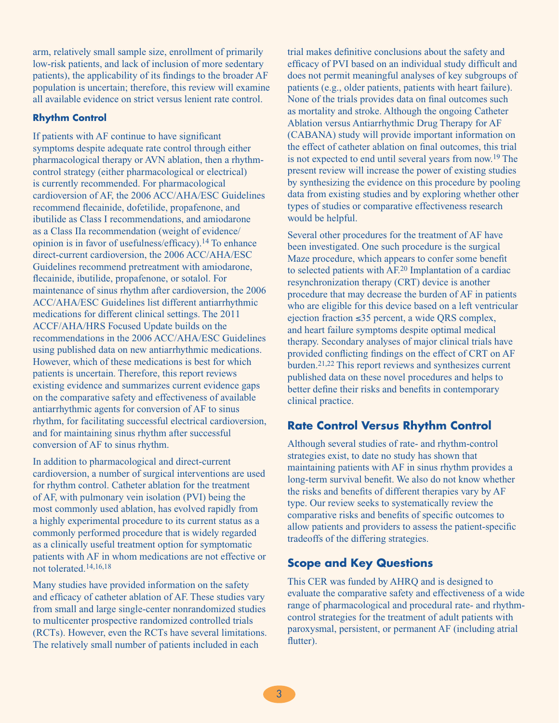arm, relatively small sample size, enrollment of primarily low-risk patients, and lack of inclusion of more sedentary patients), the applicability of its findings to the broader AF population is uncertain; therefore, this review will examine all available evidence on strict versus lenient rate control.

### **Rhythm Control**

If patients with AF continue to have significant symptoms despite adequate rate control through either pharmacological therapy or AVN ablation, then a rhythmcontrol strategy (either pharmacological or electrical) is currently recommended. For pharmacological cardioversion of AF, the 2006 ACC/AHA/ESC Guidelines recommend flecainide, dofetilide, propafenone, and ibutilide as Class I recommendations, and amiodarone as a Class IIa recommendation (weight of evidence/ opinion is in favor of usefulness/efficacy).14 To enhance direct-current cardioversion, the 2006 ACC/AHA/ESC Guidelines recommend pretreatment with amiodarone, flecainide, ibutilide, propafenone, or sotalol. For maintenance of sinus rhythm after cardioversion, the 2006 ACC/AHA/ESC Guidelines list different antiarrhythmic medications for different clinical settings. The 2011 ACCF/AHA/HRS Focused Update builds on the recommendations in the 2006 ACC/AHA/ESC Guidelines using published data on new antiarrhythmic medications. However, which of these medications is best for which patients is uncertain. Therefore, this report reviews existing evidence and summarizes current evidence gaps on the comparative safety and effectiveness of available antiarrhythmic agents for conversion of AF to sinus rhythm, for facilitating successful electrical cardioversion, and for maintaining sinus rhythm after successful conversion of AF to sinus rhythm.

In addition to pharmacological and direct-current cardioversion, a number of surgical interventions are used for rhythm control. Catheter ablation for the treatment of AF, with pulmonary vein isolation (PVI) being the most commonly used ablation, has evolved rapidly from a highly experimental procedure to its current status as a commonly performed procedure that is widely regarded as a clinically useful treatment option for symptomatic patients with AF in whom medications are not effective or not tolerated.14,16,18

Many studies have provided information on the safety and efficacy of catheter ablation of AF. These studies vary from small and large single-center nonrandomized studies to multicenter prospective randomized controlled trials (RCTs). However, even the RCTs have several limitations. The relatively small number of patients included in each

trial makes definitive conclusions about the safety and efficacy of PVI based on an individual study difficult and does not permit meaningful analyses of key subgroups of patients (e.g., older patients, patients with heart failure). None of the trials provides data on final outcomes such as mortality and stroke. Although the ongoing Catheter Ablation versus Antiarrhythmic Drug Therapy for AF (CABANA) study will provide important information on the effect of catheter ablation on final outcomes, this trial is not expected to end until several years from now.19 The present review will increase the power of existing studies by synthesizing the evidence on this procedure by pooling data from existing studies and by exploring whether other types of studies or comparative effectiveness research would be helpful.

Several other procedures for the treatment of AF have been investigated. One such procedure is the surgical Maze procedure, which appears to confer some benefit to selected patients with AF.20 Implantation of a cardiac resynchronization therapy (CRT) device is another procedure that may decrease the burden of AF in patients who are eligible for this device based on a left ventricular ejection fraction ≤35 percent, a wide QRS complex, and heart failure symptoms despite optimal medical therapy. Secondary analyses of major clinical trials have provided conflicting findings on the effect of CRT on AF burden.21,22 This report reviews and synthesizes current published data on these novel procedures and helps to better define their risks and benefits in contemporary clinical practice.

### **Rate Control Versus Rhythm Control**

Although several studies of rate- and rhythm-control strategies exist, to date no study has shown that maintaining patients with AF in sinus rhythm provides a long-term survival benefit. We also do not know whether the risks and benefits of different therapies vary by AF type. Our review seeks to systematically review the comparative risks and benefits of specific outcomes to allow patients and providers to assess the patient-specific tradeoffs of the differing strategies.

### **Scope and Key Questions**

This CER was funded by AHRQ and is designed to evaluate the comparative safety and effectiveness of a wide range of pharmacological and procedural rate- and rhythmcontrol strategies for the treatment of adult patients with paroxysmal, persistent, or permanent AF (including atrial flutter).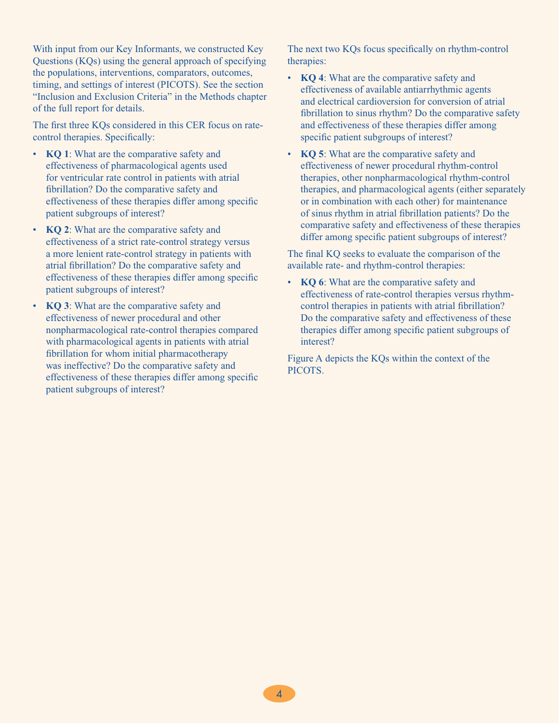With input from our Key Informants, we constructed Key Questions (KQs) using the general approach of specifying the populations, interventions, comparators, outcomes, timing, and settings of interest (PICOTS). See the section "Inclusion and Exclusion Criteria" in the Methods chapter of the full report for details.

The first three KQs considered in this CER focus on ratecontrol therapies. Specifically:

- **KQ 1**: What are the comparative safety and effectiveness of pharmacological agents used for ventricular rate control in patients with atrial fibrillation? Do the comparative safety and effectiveness of these therapies differ among specific patient subgroups of interest?
- • **KQ 2**: What are the comparative safety and effectiveness of a strict rate-control strategy versus a more lenient rate-control strategy in patients with atrial fibrillation? Do the comparative safety and effectiveness of these therapies differ among specific patient subgroups of interest?
- **KQ 3**: What are the comparative safety and effectiveness of newer procedural and other nonpharmacological rate-control therapies compared with pharmacological agents in patients with atrial fibrillation for whom initial pharmacotherapy was ineffective? Do the comparative safety and effectiveness of these therapies differ among specific patient subgroups of interest?

The next two KQs focus specifically on rhythm-control therapies:

- **KQ 4**: What are the comparative safety and effectiveness of available antiarrhythmic agents and electrical cardioversion for conversion of atrial fibrillation to sinus rhythm? Do the comparative safety and effectiveness of these therapies differ among specific patient subgroups of interest?
- • **KQ 5**: What are the comparative safety and effectiveness of newer procedural rhythm-control therapies, other nonpharmacological rhythm-control therapies, and pharmacological agents (either separately or in combination with each other) for maintenance of sinus rhythm in atrial fibrillation patients? Do the comparative safety and effectiveness of these therapies differ among specific patient subgroups of interest?

The final KQ seeks to evaluate the comparison of the available rate- and rhythm-control therapies:

• **KO 6**: What are the comparative safety and effectiveness of rate-control therapies versus rhythmcontrol therapies in patients with atrial fibrillation? Do the comparative safety and effectiveness of these therapies differ among specific patient subgroups of interest?

Figure A depicts the KQs within the context of the PICOTS.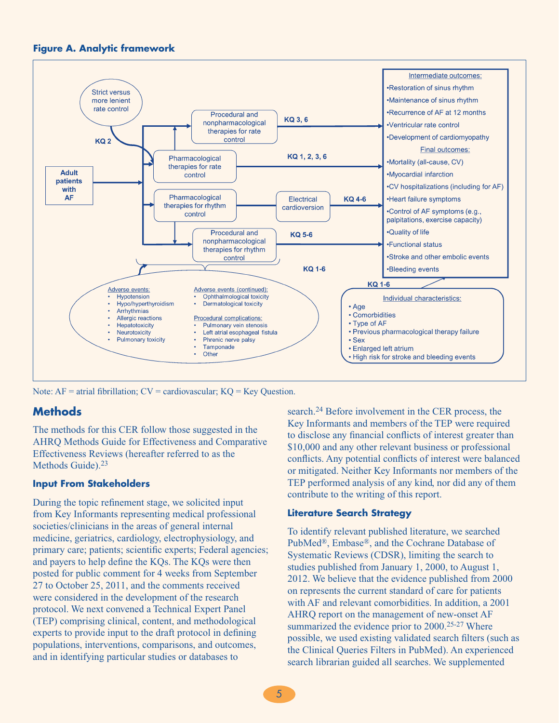**Figure A. Analytic framework**



Note:  $AF =$  atrial fibrillation;  $CV =$  cardiovascular;  $KQ = Key$  Question.

### **Methods**

The methods for this CER follow those suggested in the AHRQ Methods Guide for Effectiveness and Comparative Effectiveness Reviews (hereafter referred to as the Methods Guide).<sup>23</sup>

#### **Input From Stakeholders**

During the topic refinement stage, we solicited input from Key Informants representing medical professional societies/clinicians in the areas of general internal medicine, geriatrics, cardiology, electrophysiology, and primary care; patients; scientific experts; Federal agencies; and payers to help define the KQs. The KQs were then posted for public comment for 4 weeks from September 27 to October 25, 2011, and the comments received were considered in the development of the research protocol. We next convened a Technical Expert Panel (TEP) comprising clinical, content, and methodological experts to provide input to the draft protocol in defining populations, interventions, comparisons, and outcomes, and in identifying particular studies or databases to

search.24 Before involvement in the CER process, the Key Informants and members of the TEP were required to disclose any financial conflicts of interest greater than \$10,000 and any other relevant business or professional conflicts. Any potential conflicts of interest were balanced or mitigated. Neither Key Informants nor members of the TEP performed analysis of any kind, nor did any of them contribute to the writing of this report.

#### **Literature Search Strategy**

To identify relevant published literature, we searched PubMed®, Embase®, and the Cochrane Database of Systematic Reviews (CDSR), limiting the search to studies published from January 1, 2000, to August 1, 2012. We believe that the evidence published from 2000 on represents the current standard of care for patients with AF and relevant comorbidities. In addition, a 2001 AHRQ report on the management of new-onset AF summarized the evidence prior to 2000.<sup>25-27</sup> Where possible, we used existing validated search filters (such as the Clinical Queries Filters in PubMed). An experienced search librarian guided all searches. We supplemented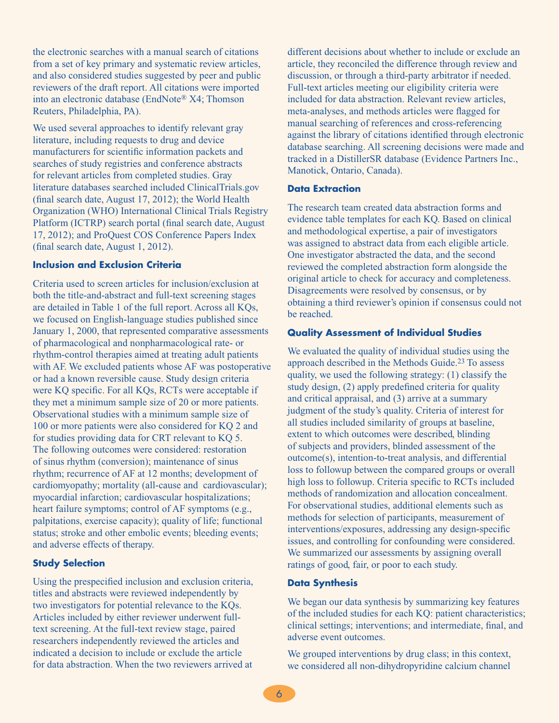the electronic searches with a manual search of citations from a set of key primary and systematic review articles, and also considered studies suggested by peer and public reviewers of the draft report. All citations were imported into an electronic database (EndNote® X4; Thomson Reuters, Philadelphia, PA).

We used several approaches to identify relevant gray literature, including requests to drug and device manufacturers for scientific information packets and searches of study registries and conference abstracts for relevant articles from completed studies. Gray literature databases searched included ClinicalTrials.gov (final search date, August 17, 2012); the World Health Organization (WHO) International Clinical Trials Registry Platform (ICTRP) search portal (final search date, August 17, 2012); and ProQuest COS Conference Papers Index (final search date, August 1, 2012).

#### **Inclusion and Exclusion Criteria**

Criteria used to screen articles for inclusion/exclusion at both the title-and-abstract and full-text screening stages are detailed in Table 1 of the full report. Across all KQs, we focused on English-language studies published since January 1, 2000, that represented comparative assessments of pharmacological and nonpharmacological rate- or rhythm-control therapies aimed at treating adult patients with AF. We excluded patients whose AF was postoperative or had a known reversible cause. Study design criteria were KQ specific. For all KQs, RCTs were acceptable if they met a minimum sample size of 20 or more patients. Observational studies with a minimum sample size of 100 or more patients were also considered for KQ 2 and for studies providing data for CRT relevant to KQ 5. The following outcomes were considered: restoration of sinus rhythm (conversion); maintenance of sinus rhythm; recurrence of AF at 12 months; development of cardiomyopathy; mortality (all-cause and cardiovascular); myocardial infarction; cardiovascular hospitalizations; heart failure symptoms; control of AF symptoms (e.g., palpitations, exercise capacity); quality of life; functional status; stroke and other embolic events; bleeding events; and adverse effects of therapy.

#### **Study Selection**

Using the prespecified inclusion and exclusion criteria, titles and abstracts were reviewed independently by two investigators for potential relevance to the KQs. Articles included by either reviewer underwent fulltext screening. At the full-text review stage, paired researchers independently reviewed the articles and indicated a decision to include or exclude the article for data abstraction. When the two reviewers arrived at

different decisions about whether to include or exclude an article, they reconciled the difference through review and discussion, or through a third-party arbitrator if needed. Full-text articles meeting our eligibility criteria were included for data abstraction. Relevant review articles, meta-analyses, and methods articles were flagged for manual searching of references and cross-referencing against the library of citations identified through electronic database searching. All screening decisions were made and tracked in a DistillerSR database (Evidence Partners Inc., Manotick, Ontario, Canada).

#### **Data Extraction**

The research team created data abstraction forms and evidence table templates for each KQ. Based on clinical and methodological expertise, a pair of investigators was assigned to abstract data from each eligible article. One investigator abstracted the data, and the second reviewed the completed abstraction form alongside the original article to check for accuracy and completeness. Disagreements were resolved by consensus, or by obtaining a third reviewer's opinion if consensus could not be reached.

#### **Quality Assessment of Individual Studies**

We evaluated the quality of individual studies using the approach described in the Methods Guide.23 To assess quality, we used the following strategy: (1) classify the study design, (2) apply predefined criteria for quality and critical appraisal, and (3) arrive at a summary judgment of the study's quality. Criteria of interest for all studies included similarity of groups at baseline, extent to which outcomes were described, blinding of subjects and providers, blinded assessment of the outcome(s), intention-to-treat analysis, and differential loss to followup between the compared groups or overall high loss to followup. Criteria specific to RCTs included methods of randomization and allocation concealment. For observational studies, additional elements such as methods for selection of participants, measurement of interventions/exposures, addressing any design-specific issues, and controlling for confounding were considered. We summarized our assessments by assigning overall ratings of good, fair, or poor to each study.

#### **Data Synthesis**

We began our data synthesis by summarizing key features of the included studies for each KQ: patient characteristics; clinical settings; interventions; and intermediate, final, and adverse event outcomes.

We grouped interventions by drug class; in this context, we considered all non-dihydropyridine calcium channel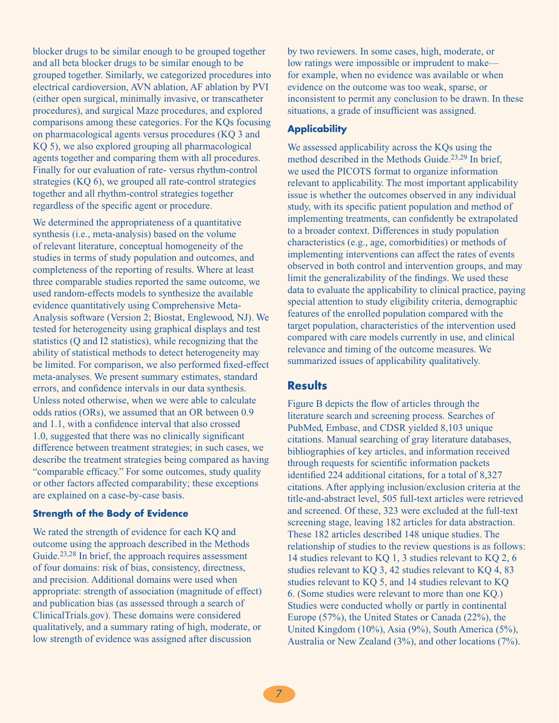blocker drugs to be similar enough to be grouped together and all beta blocker drugs to be similar enough to be grouped together. Similarly, we categorized procedures into electrical cardioversion, AVN ablation, AF ablation by PVI (either open surgical, minimally invasive, or transcatheter procedures), and surgical Maze procedures, and explored comparisons among these categories. For the KQs focusing on pharmacological agents versus procedures (KQ 3 and KQ 5), we also explored grouping all pharmacological agents together and comparing them with all procedures. Finally for our evaluation of rate- versus rhythm-control strategies (KQ 6), we grouped all rate-control strategies together and all rhythm-control strategies together regardless of the specific agent or procedure.

We determined the appropriateness of a quantitative synthesis (i.e., meta-analysis) based on the volume of relevant literature, conceptual homogeneity of the studies in terms of study population and outcomes, and completeness of the reporting of results. Where at least three comparable studies reported the same outcome, we used random-effects models to synthesize the available evidence quantitatively using Comprehensive Meta-Analysis software (Version 2; Biostat, Englewood, NJ). We tested for heterogeneity using graphical displays and test statistics (Q and I2 statistics), while recognizing that the ability of statistical methods to detect heterogeneity may be limited. For comparison, we also performed fixed-effect meta-analyses. We present summary estimates, standard errors, and confidence intervals in our data synthesis. Unless noted otherwise, when we were able to calculate odds ratios (ORs), we assumed that an OR between 0.9 and 1.1, with a confidence interval that also crossed 1.0, suggested that there was no clinically significant difference between treatment strategies; in such cases, we describe the treatment strategies being compared as having "comparable efficacy." For some outcomes, study quality or other factors affected comparability; these exceptions are explained on a case-by-case basis.

### **Strength of the Body of Evidence**

We rated the strength of evidence for each KQ and outcome using the approach described in the Methods Guide.<sup>23,28</sup> In brief, the approach requires assessment of four domains: risk of bias, consistency, directness, and precision. Additional domains were used when appropriate: strength of association (magnitude of effect) and publication bias (as assessed through a search of ClinicalTrials.gov). These domains were considered qualitatively, and a summary rating of high, moderate, or low strength of evidence was assigned after discussion

by two reviewers. In some cases, high, moderate, or low ratings were impossible or imprudent to make for example, when no evidence was available or when evidence on the outcome was too weak, sparse, or inconsistent to permit any conclusion to be drawn. In these situations, a grade of insufficient was assigned.

#### **Applicability**

We assessed applicability across the KQs using the method described in the Methods Guide.<sup>23,29</sup> In brief, we used the PICOTS format to organize information relevant to applicability. The most important applicability issue is whether the outcomes observed in any individual study, with its specific patient population and method of implementing treatments, can confidently be extrapolated to a broader context. Differences in study population characteristics (e.g., age, comorbidities) or methods of implementing interventions can affect the rates of events observed in both control and intervention groups, and may limit the generalizability of the findings. We used these data to evaluate the applicability to clinical practice, paying special attention to study eligibility criteria, demographic features of the enrolled population compared with the target population, characteristics of the intervention used compared with care models currently in use, and clinical relevance and timing of the outcome measures. We summarized issues of applicability qualitatively.

### **Results**

Figure B depicts the flow of articles through the literature search and screening process. Searches of PubMed, Embase, and CDSR yielded 8,103 unique citations. Manual searching of gray literature databases, bibliographies of key articles, and information received through requests for scientific information packets identified 224 additional citations, for a total of 8,327 citations. After applying inclusion/exclusion criteria at the title-and-abstract level, 505 full-text articles were retrieved and screened. Of these, 323 were excluded at the full-text screening stage, leaving 182 articles for data abstraction. These 182 articles described 148 unique studies. The relationship of studies to the review questions is as follows: 14 studies relevant to KQ 1, 3 studies relevant to KQ 2, 6 studies relevant to KQ 3, 42 studies relevant to KQ 4, 83 studies relevant to KQ 5, and 14 studies relevant to KQ 6. (Some studies were relevant to more than one KQ.) Studies were conducted wholly or partly in continental Europe (57%), the United States or Canada (22%), the United Kingdom (10%), Asia (9%), South America (5%), Australia or New Zealand (3%), and other locations (7%).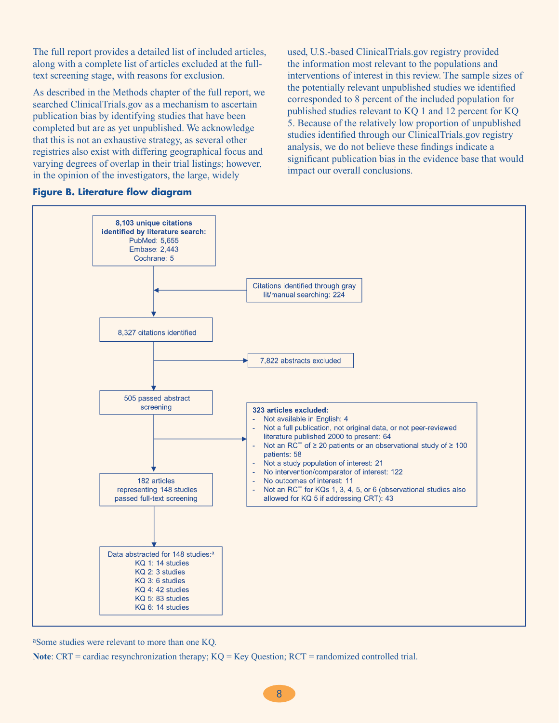The full report provides a detailed list of included articles, along with a complete list of articles excluded at the fulltext screening stage, with reasons for exclusion.

As described in the Methods chapter of the full report, we searched ClinicalTrials.gov as a mechanism to ascertain publication bias by identifying studies that have been completed but are as yet unpublished. We acknowledge that this is not an exhaustive strategy, as several other registries also exist with differing geographical focus and varying degrees of overlap in their trial listings; however, in the opinion of the investigators, the large, widely

#### **Figure B. Literature flow diagram**

used, U.S.-based ClinicalTrials.gov registry provided the information most relevant to the populations and interventions of interest in this review. The sample sizes of the potentially relevant unpublished studies we identified corresponded to 8 percent of the included population for published studies relevant to KQ 1 and 12 percent for KQ 5. Because of the relatively low proportion of unpublished studies identified through our ClinicalTrials.gov registry analysis, we do not believe these findings indicate a significant publication bias in the evidence base that would impact our overall conclusions.



aSome studies were relevant to more than one KQ.

**Note:** CRT = cardiac resynchronization therapy; KQ = Key Question; RCT = randomized controlled trial.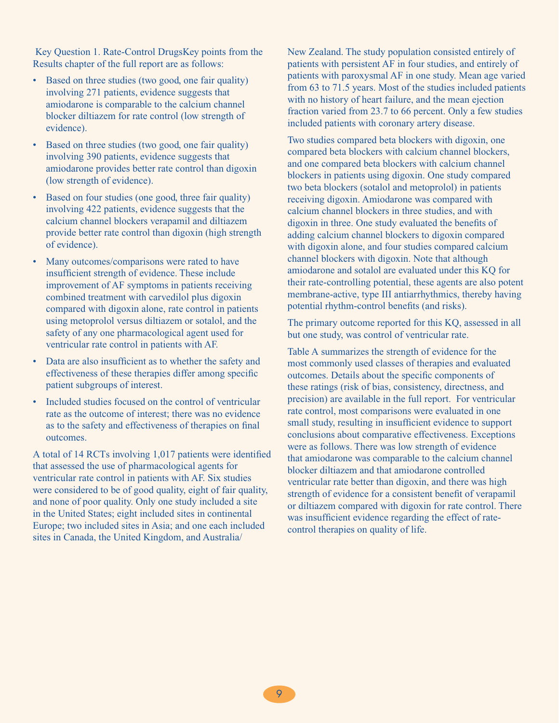Key Question 1. Rate-Control DrugsKey points from the Results chapter of the full report are as follows:

- Based on three studies (two good, one fair quality) involving 271 patients, evidence suggests that amiodarone is comparable to the calcium channel blocker diltiazem for rate control (low strength of evidence).
- Based on three studies (two good, one fair quality) involving 390 patients, evidence suggests that amiodarone provides better rate control than digoxin (low strength of evidence).
- Based on four studies (one good, three fair quality) involving 422 patients, evidence suggests that the calcium channel blockers verapamil and diltiazem provide better rate control than digoxin (high strength of evidence).
- Many outcomes/comparisons were rated to have insufficient strength of evidence. These include improvement of AF symptoms in patients receiving combined treatment with carvedilol plus digoxin compared with digoxin alone, rate control in patients using metoprolol versus diltiazem or sotalol, and the safety of any one pharmacological agent used for ventricular rate control in patients with AF.
- • Data are also insufficient as to whether the safety and effectiveness of these therapies differ among specific patient subgroups of interest.
- Included studies focused on the control of ventricular rate as the outcome of interest; there was no evidence as to the safety and effectiveness of therapies on final outcomes.

A total of 14 RCTs involving 1,017 patients were identified that assessed the use of pharmacological agents for ventricular rate control in patients with AF. Six studies were considered to be of good quality, eight of fair quality, and none of poor quality. Only one study included a site in the United States; eight included sites in continental Europe; two included sites in Asia; and one each included sites in Canada, the United Kingdom, and Australia/

New Zealand. The study population consisted entirely of patients with persistent AF in four studies, and entirely of patients with paroxysmal AF in one study. Mean age varied from 63 to 71.5 years. Most of the studies included patients with no history of heart failure, and the mean ejection fraction varied from 23.7 to 66 percent. Only a few studies included patients with coronary artery disease.

Two studies compared beta blockers with digoxin, one compared beta blockers with calcium channel blockers, and one compared beta blockers with calcium channel blockers in patients using digoxin. One study compared two beta blockers (sotalol and metoprolol) in patients receiving digoxin. Amiodarone was compared with calcium channel blockers in three studies, and with digoxin in three. One study evaluated the benefits of adding calcium channel blockers to digoxin compared with digoxin alone, and four studies compared calcium channel blockers with digoxin. Note that although amiodarone and sotalol are evaluated under this KQ for their rate-controlling potential, these agents are also potent membrane-active, type III antiarrhythmics, thereby having potential rhythm-control benefits (and risks).

The primary outcome reported for this KQ, assessed in all but one study, was control of ventricular rate.

Table A summarizes the strength of evidence for the most commonly used classes of therapies and evaluated outcomes. Details about the specific components of these ratings (risk of bias, consistency, directness, and precision) are available in the full report. For ventricular rate control, most comparisons were evaluated in one small study, resulting in insufficient evidence to support conclusions about comparative effectiveness. Exceptions were as follows. There was low strength of evidence that amiodarone was comparable to the calcium channel blocker diltiazem and that amiodarone controlled ventricular rate better than digoxin, and there was high strength of evidence for a consistent benefit of verapamil or diltiazem compared with digoxin for rate control. There was insufficient evidence regarding the effect of ratecontrol therapies on quality of life.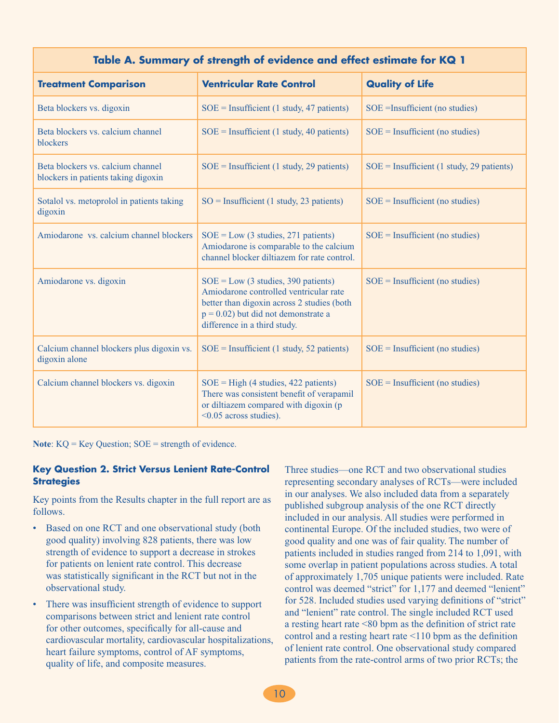|                                                                          | Table A. Summary of strength of evidence and effect estimate for KQ 1                                                                                                                                   |                                             |
|--------------------------------------------------------------------------|---------------------------------------------------------------------------------------------------------------------------------------------------------------------------------------------------------|---------------------------------------------|
| <b>Treatment Comparison</b>                                              | <b>Ventricular Rate Control</b>                                                                                                                                                                         | <b>Quality of Life</b>                      |
| Beta blockers vs. digoxin                                                | $SOE = Insufficient (1 study, 47 patients)$                                                                                                                                                             | SOE = Insufficient (no studies)             |
| Beta blockers vs. calcium channel<br>blockers                            | $SOE = Insufficient (1 study, 40 patients)$                                                                                                                                                             | $SOE = Insufficient (no studies)$           |
| Beta blockers vs. calcium channel<br>blockers in patients taking digoxin | $SOE = Insufficient (1 study, 29 patients)$                                                                                                                                                             | $SOE = Insufficient (1 study, 29 patients)$ |
| Sotalol vs. metoprolol in patients taking<br>digoxin                     | $SO =$ Insufficient (1 study, 23 patients)                                                                                                                                                              | $SOE = Insufficient (no studies)$           |
| Amiodarone vs. calcium channel blockers                                  | $SOE = Low (3 studies, 271 patients)$<br>Amiodarone is comparable to the calcium<br>channel blocker diltiazem for rate control.                                                                         | $SOE =$ Insufficient (no studies)           |
| Amiodarone vs. digoxin                                                   | $SOE = Low (3 studies, 390 patients)$<br>Amiodarone controlled ventricular rate<br>better than digoxin across 2 studies (both<br>$p = 0.02$ ) but did not demonstrate a<br>difference in a third study. | $SOE = Insufficient (no studies)$           |
| Calcium channel blockers plus digoxin vs.<br>digoxin alone               | $SOE = Insufficient (1 study, 52 patients)$                                                                                                                                                             | $SOE = Insufficient (no studies)$           |
| Calcium channel blockers vs. digoxin                                     | $SOE = High (4 studies, 422 patients)$<br>There was consistent benefit of verapamil<br>or diltiazem compared with digoxin (p<br><0.05 across studies).                                                  | $SOE = Insufficient (no studies)$           |

Note: KQ = Key Question; SOE = strength of evidence.

### **Key Question 2. Strict Versus Lenient Rate-Control Strategies**

Key points from the Results chapter in the full report are as follows.

- Based on one RCT and one observational study (both good quality) involving 828 patients, there was low strength of evidence to support a decrease in strokes for patients on lenient rate control. This decrease was statistically significant in the RCT but not in the observational study.
- There was insufficient strength of evidence to support comparisons between strict and lenient rate control for other outcomes, specifically for all-cause and cardiovascular mortality, cardiovascular hospitalizations, heart failure symptoms, control of AF symptoms, quality of life, and composite measures.

Three studies—one RCT and two observational studies representing secondary analyses of RCTs—were included in our analyses. We also included data from a separately published subgroup analysis of the one RCT directly included in our analysis. All studies were performed in continental Europe. Of the included studies, two were of good quality and one was of fair quality. The number of patients included in studies ranged from 214 to 1,091, with some overlap in patient populations across studies. A total of approximately 1,705 unique patients were included. Rate control was deemed "strict" for 1,177 and deemed "lenient" for 528. Included studies used varying definitions of "strict" and "lenient" rate control. The single included RCT used a resting heart rate <80 bpm as the definition of strict rate control and a resting heart rate <110 bpm as the definition of lenient rate control. One observational study compared patients from the rate-control arms of two prior RCTs; the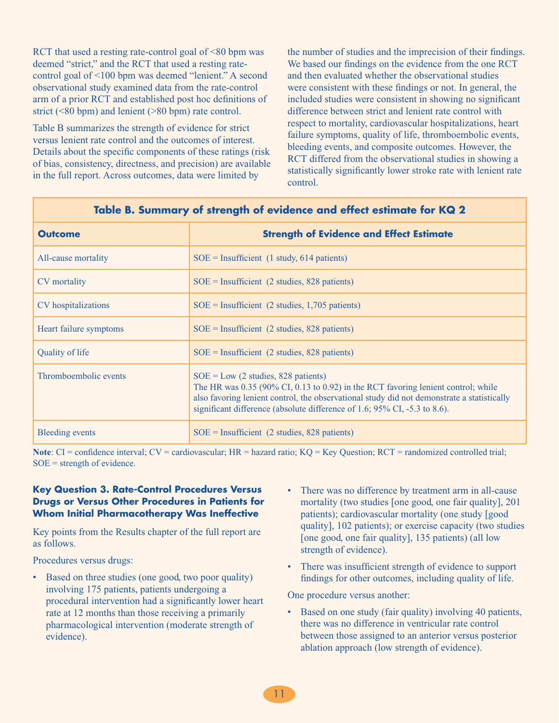RCT that used a resting rate-control goal of <80 bpm was deemed "strict," and the RCT that used a resting ratecontrol goal of <100 bpm was deemed "lenient." A second observational study examined data from the rate-control arm of a prior RCT and established post hoc definitions of strict ( $\leq 80$  bpm) and lenient ( $\geq 80$  bpm) rate control.

Table B summarizes the strength of evidence for strict versus lenient rate control and the outcomes of interest. Details about the specific components of these ratings (risk of bias, consistency, directness, and precision) are available in the full report. Across outcomes, data were limited by

the number of studies and the imprecision of their findings. We based our findings on the evidence from the one RCT and then evaluated whether the observational studies were consistent with these findings or not. In general, the included studies were consistent in showing no significant difference between strict and lenient rate control with respect to mortality, cardiovascular hospitalizations, heart failure symptoms, quality of life, thromboembolic events, bleeding events, and composite outcomes. However, the RCT differed from the observational studies in showing a statistically significantly lower stroke rate with lenient rate control.

| <b>Outcome</b>         | <b>Strength of Evidence and Effect Estimate</b>                                                                                                                                                                                                                                                         |
|------------------------|---------------------------------------------------------------------------------------------------------------------------------------------------------------------------------------------------------------------------------------------------------------------------------------------------------|
| All-cause mortality    | $SOE = Insufficient$ (1 study, 614 patients)                                                                                                                                                                                                                                                            |
| CV mortality           | $SOE =$ Insufficient (2 studies, 828 patients)                                                                                                                                                                                                                                                          |
| CV hospitalizations    | $SOE = Insufficient$ (2 studies, 1,705 patients)                                                                                                                                                                                                                                                        |
| Heart failure symptoms | $SOE =$ Insufficient (2 studies, 828 patients)                                                                                                                                                                                                                                                          |
| Quality of life        | $SOE =$ Insufficient (2 studies, 828 patients)                                                                                                                                                                                                                                                          |
| Thromboembolic events  | $SOE = Low (2 studies, 828 patients)$<br>The HR was $0.35$ (90% CI, 0.13 to 0.92) in the RCT favoring lenient control; while<br>also favoring lenient control, the observational study did not demonstrate a statistically<br>significant difference (absolute difference of 1.6; 95% CI, -5.3 to 8.6). |
| Bleeding events        | $SOE = Insufficient$ (2 studies, 828 patients)                                                                                                                                                                                                                                                          |

### **Table B. Summary of strength of evidence and effect estimate for KQ 2**

**Note**: CI = confidence interval; CV = cardiovascular; HR = hazard ratio; KQ = Key Question; RCT = randomized controlled trial;  $SOE =$  strength of evidence.

### **Key Question 3. Rate-Control Procedures Versus Drugs or Versus Other Procedures in Patients for Whom Initial Pharmacotherapy Was Ineffective**

Key points from the Results chapter of the full report are as follows.

Procedures versus drugs:

- Based on three studies (one good, two poor quality) involving 175 patients, patients undergoing a procedural intervention had a significantly lower heart rate at 12 months than those receiving a primarily pharmacological intervention (moderate strength of evidence).
- There was no difference by treatment arm in all-cause mortality (two studies [one good, one fair quality], 201 patients); cardiovascular mortality (one study [good quality], 102 patients); or exercise capacity (two studies [one good, one fair quality], 135 patients) (all low strength of evidence).
- There was insufficient strength of evidence to support findings for other outcomes, including quality of life.

One procedure versus another:

• Based on one study (fair quality) involving 40 patients, there was no difference in ventricular rate control between those assigned to an anterior versus posterior ablation approach (low strength of evidence).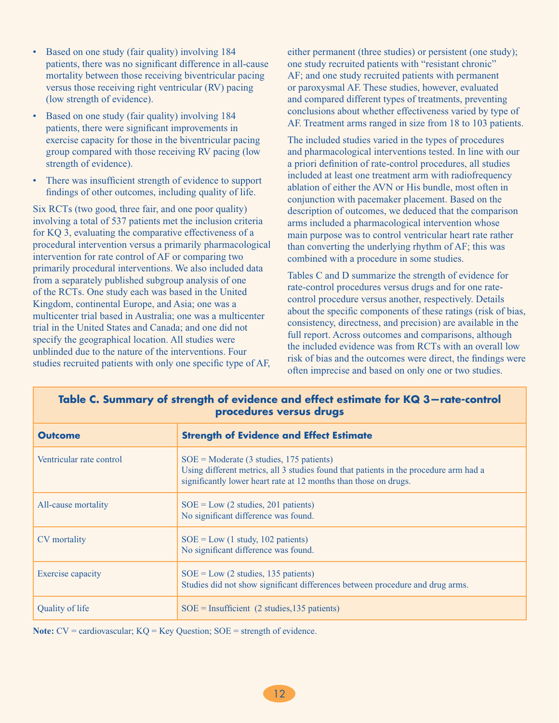- Based on one study (fair quality) involving 184 patients, there was no significant difference in all-cause mortality between those receiving biventricular pacing versus those receiving right ventricular (RV) pacing (low strength of evidence).
- Based on one study (fair quality) involving 184 patients, there were significant improvements in exercise capacity for those in the biventricular pacing group compared with those receiving RV pacing (low strength of evidence).
- There was insufficient strength of evidence to support findings of other outcomes, including quality of life.

Six RCTs (two good, three fair, and one poor quality) involving a total of 537 patients met the inclusion criteria for KQ 3, evaluating the comparative effectiveness of a procedural intervention versus a primarily pharmacological intervention for rate control of AF or comparing two primarily procedural interventions. We also included data from a separately published subgroup analysis of one of the RCTs. One study each was based in the United Kingdom, continental Europe, and Asia; one was a multicenter trial based in Australia; one was a multicenter trial in the United States and Canada; and one did not specify the geographical location. All studies were unblinded due to the nature of the interventions. Four studies recruited patients with only one specific type of AF,

either permanent (three studies) or persistent (one study); one study recruited patients with "resistant chronic" AF; and one study recruited patients with permanent or paroxysmal AF. These studies, however, evaluated and compared different types of treatments, preventing conclusions about whether effectiveness varied by type of AF. Treatment arms ranged in size from 18 to 103 patients.

The included studies varied in the types of procedures and pharmacological interventions tested. In line with our a priori definition of rate-control procedures, all studies included at least one treatment arm with radiofrequency ablation of either the AVN or His bundle, most often in conjunction with pacemaker placement. Based on the description of outcomes, we deduced that the comparison arms included a pharmacological intervention whose main purpose was to control ventricular heart rate rather than converting the underlying rhythm of AF; this was combined with a procedure in some studies.

Tables C and D summarize the strength of evidence for rate-control procedures versus drugs and for one ratecontrol procedure versus another, respectively. Details about the specific components of these ratings (risk of bias, consistency, directness, and precision) are available in the full report. Across outcomes and comparisons, although the included evidence was from RCTs with an overall low risk of bias and the outcomes were direct, the findings were often imprecise and based on only one or two studies.

| <b>Outcome</b>           | <b>Strength of Evidence and Effect Estimate</b>                                                                                                                                                                              |
|--------------------------|------------------------------------------------------------------------------------------------------------------------------------------------------------------------------------------------------------------------------|
| Ventricular rate control | $SOE = \text{Modern} (3 \text{ studies}, 175 \text{ patients})$<br>Using different metrics, all 3 studies found that patients in the procedure arm had a<br>significantly lower heart rate at 12 months than those on drugs. |
| All-cause mortality      | $SOE = Low (2 studies, 201 patients)$<br>No significant difference was found.                                                                                                                                                |
| CV mortality             | $SOE = Low (1 study, 102 patients)$<br>No significant difference was found.                                                                                                                                                  |
| Exercise capacity        | $SOE = Low (2 studies, 135 patients)$<br>Studies did not show significant differences between procedure and drug arms.                                                                                                       |
| Quality of life          | $SOE = Insufficient$ (2 studies, 135 patients)                                                                                                                                                                               |

### **Table C. Summary of strength of evidence and effect estimate for KQ 3—rate-control procedures versus drugs**

**Note:** CV = cardiovascular; KQ = Key Question; SOE = strength of evidence.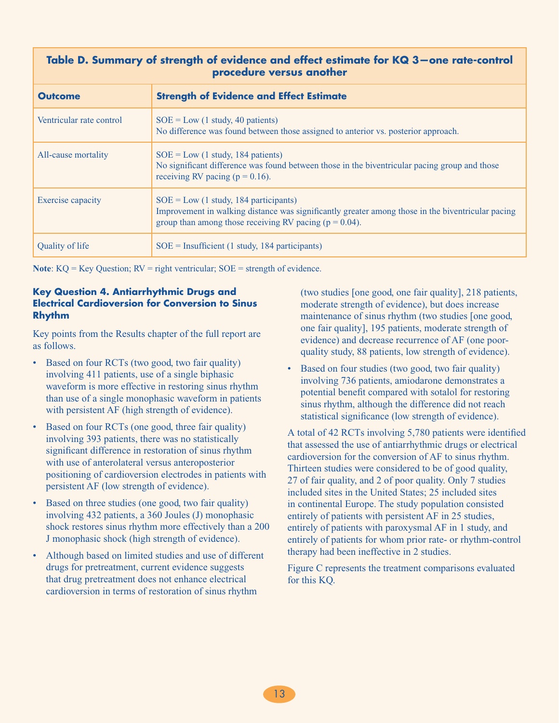### **Table D. Summary of strength of evidence and effect estimate for KQ 3—one rate-control procedure versus another**

| <b>Outcome</b>           | <b>Strength of Evidence and Effect Estimate</b>                                                                                                                                                            |
|--------------------------|------------------------------------------------------------------------------------------------------------------------------------------------------------------------------------------------------------|
| Ventricular rate control | $SOE = Low (1 study, 40 patients)$<br>No difference was found between those assigned to anterior vs. posterior approach.                                                                                   |
| All-cause mortality      | $SOE = Low (1 study, 184 patients)$<br>No significant difference was found between those in the biventricular pacing group and those<br>receiving RV pacing ( $p = 0.16$ ).                                |
| Exercise capacity        | $SOE = Low (1 study, 184 participants)$<br>Improvement in walking distance was significantly greater among those in the biventricular pacing<br>group than among those receiving RV pacing ( $p = 0.04$ ). |
| Quality of life          | $SOE =$ Insufficient (1 study, 184 participants)                                                                                                                                                           |

**Note**: KQ = Key Question; RV = right ventricular; SOE = strength of evidence.

### **Key Question 4. Antiarrhythmic Drugs and Electrical Cardioversion for Conversion to Sinus Rhythm**

Key points from the Results chapter of the full report are as follows.

- Based on four RCTs (two good, two fair quality) involving 411 patients, use of a single biphasic waveform is more effective in restoring sinus rhythm than use of a single monophasic waveform in patients with persistent AF (high strength of evidence).
- Based on four RCTs (one good, three fair quality) involving 393 patients, there was no statistically significant difference in restoration of sinus rhythm with use of anterolateral versus anteroposterior positioning of cardioversion electrodes in patients with persistent AF (low strength of evidence).
- Based on three studies (one good, two fair quality) involving 432 patients, a 360 Joules (J) monophasic shock restores sinus rhythm more effectively than a 200 J monophasic shock (high strength of evidence).
- Although based on limited studies and use of different drugs for pretreatment, current evidence suggests that drug pretreatment does not enhance electrical cardioversion in terms of restoration of sinus rhythm

(two studies [one good, one fair quality], 218 patients, moderate strength of evidence), but does increase maintenance of sinus rhythm (two studies [one good, one fair quality], 195 patients, moderate strength of evidence) and decrease recurrence of AF (one poorquality study, 88 patients, low strength of evidence).

• Based on four studies (two good, two fair quality) involving 736 patients, amiodarone demonstrates a potential benefit compared with sotalol for restoring sinus rhythm, although the difference did not reach statistical significance (low strength of evidence).

A total of 42 RCTs involving 5,780 patients were identified that assessed the use of antiarrhythmic drugs or electrical cardioversion for the conversion of AF to sinus rhythm. Thirteen studies were considered to be of good quality, 27 of fair quality, and 2 of poor quality. Only 7 studies included sites in the United States; 25 included sites in continental Europe. The study population consisted entirely of patients with persistent AF in 25 studies, entirely of patients with paroxysmal AF in 1 study, and entirely of patients for whom prior rate- or rhythm-control therapy had been ineffective in 2 studies.

Figure C represents the treatment comparisons evaluated for this KQ.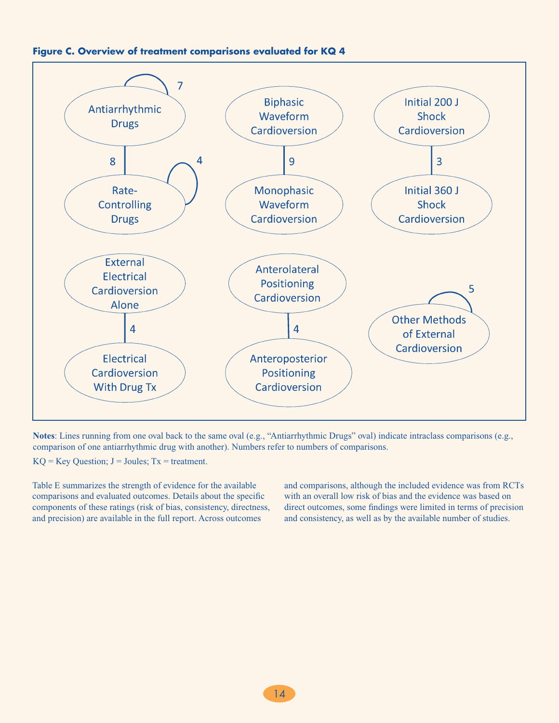



**Notes**: Lines running from one oval back to the same oval (e.g., "Antiarrhythmic Drugs" oval) indicate intraclass comparisons (e.g., comparison of one antiarrhythmic drug with another). Numbers refer to numbers of comparisons.

 $KQ = Key Question$ ;  $J = Joules$ ;  $Tx = treatment$ .

Table E summarizes the strength of evidence for the available comparisons and evaluated outcomes. Details about the specific components of these ratings (risk of bias, consistency, directness, and precision) are available in the full report. Across outcomes

and comparisons, although the included evidence was from RCTs with an overall low risk of bias and the evidence was based on direct outcomes, some findings were limited in terms of precision and consistency, as well as by the available number of studies.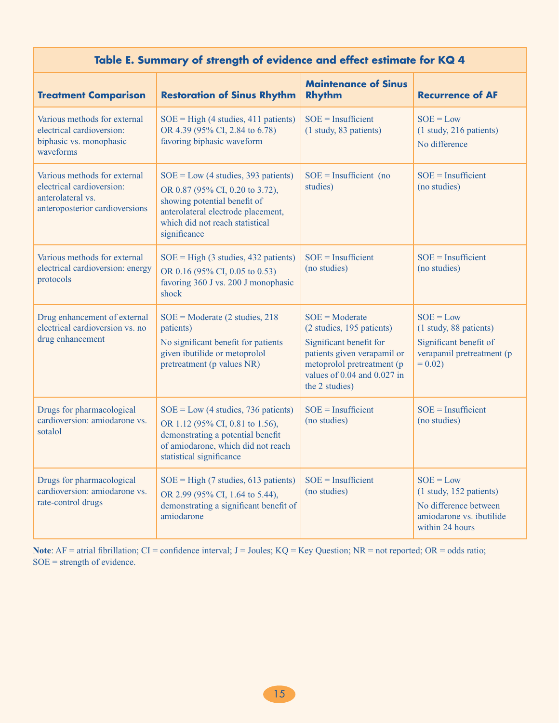# **Table E. Summary of strength of evidence and effect estimate for KQ 4**

| <b>Treatment Comparison</b>                                                                                      | <b>Restoration of Sinus Rhythm</b>                                                                                                                                                                | <b>Maintenance of Sinus</b><br><b>Rhythm</b>                                                                                                                                                    | <b>Recurrence of AF</b>                                                                                        |
|------------------------------------------------------------------------------------------------------------------|---------------------------------------------------------------------------------------------------------------------------------------------------------------------------------------------------|-------------------------------------------------------------------------------------------------------------------------------------------------------------------------------------------------|----------------------------------------------------------------------------------------------------------------|
| Various methods for external<br>electrical cardioversion:<br>biphasic vs. monophasic<br>waveforms                | $SOE = High (4 studies, 411 patients)$<br>OR 4.39 (95% CI, 2.84 to 6.78)<br>favoring biphasic waveform                                                                                            | $SOE = Insufficient$<br>(1 study, 83 patients)                                                                                                                                                  | $SOE = Low$<br>(1 study, 216 patients)<br>No difference                                                        |
| Various methods for external<br>electrical cardioversion:<br>anterolateral vs.<br>anteroposterior cardioversions | $SOE = Low (4 studies, 393 patients)$<br>OR 0.87 (95% CI, 0.20 to 3.72),<br>showing potential benefit of<br>anterolateral electrode placement,<br>which did not reach statistical<br>significance | $SOE = Insufficient (no)$<br>studies)                                                                                                                                                           | $SOE = Insufficient$<br>(no studies)                                                                           |
| Various methods for external<br>electrical cardioversion: energy<br>protocols                                    | $SOE = High (3 studies, 432 patients)$<br>OR 0.16 (95% CI, 0.05 to 0.53)<br>favoring 360 J vs. 200 J monophasic<br>shock                                                                          | $SOE = Insufficient$<br>(no studies)                                                                                                                                                            | $SOE = Insufficient$<br>(no studies)                                                                           |
| Drug enhancement of external<br>electrical cardioversion vs. no<br>drug enhancement                              | $SOE = \text{Modern}$ (2 studies, 218)<br>patients)<br>No significant benefit for patients<br>given ibutilide or metoprolol<br>pretreatment (p values NR)                                         | $SOE = \text{Modern}$<br>(2 studies, 195 patients)<br>Significant benefit for<br>patients given verapamil or<br>metoprolol pretreatment (p<br>values of $0.04$ and $0.027$ in<br>the 2 studies) | $SOE = Low$<br>(1 study, 88 patients)<br>Significant benefit of<br>verapamil pretreatment (p<br>$= 0.02$       |
| Drugs for pharmacological<br>cardioversion: amiodarone vs.<br>sotalol                                            | $SOE = Low (4 studies, 736 patients)$<br>OR 1.12 (95% CI, 0.81 to 1.56),<br>demonstrating a potential benefit<br>of amiodarone, which did not reach<br>statistical significance                   | $SOE = Insufficient$<br>(no studies)                                                                                                                                                            | $SOE = Insufficient$<br>(no studies)                                                                           |
| Drugs for pharmacological<br>cardioversion: amiodarone vs.<br>rate-control drugs                                 | $SOE = High (7 studies, 613 patients)$<br>OR 2.99 (95% CI, 1.64 to 5.44),<br>demonstrating a significant benefit of<br>amiodarone                                                                 | $SOE = Insufficient$<br>(no studies)                                                                                                                                                            | $SOE = Low$<br>(1 study, 152 patients)<br>No difference between<br>amiodarone vs. ibutilide<br>within 24 hours |

Note: AF = atrial fibrillation; CI = confidence interval; J = Joules; KQ = Key Question; NR = not reported; OR = odds ratio; SOE = strength of evidence.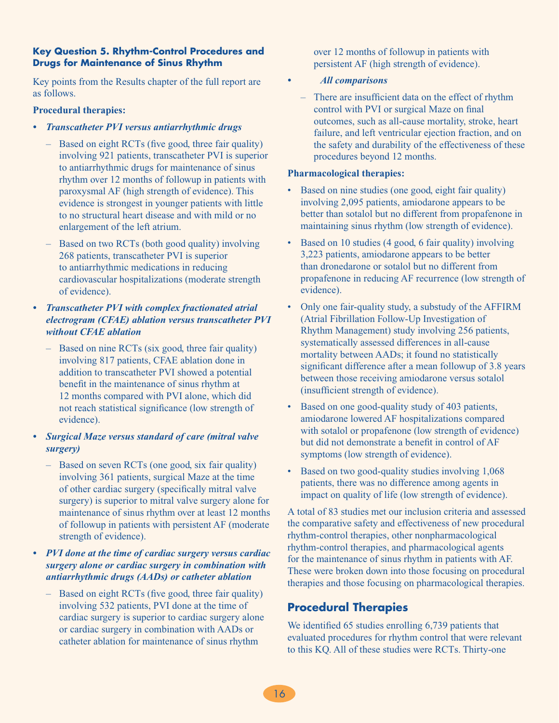### **Key Question 5. Rhythm-Control Procedures and Drugs for Maintenance of Sinus Rhythm**

Key points from the Results chapter of the full report are as follows.

#### **Procedural therapies:**

- *• Transcatheter PVI versus antiarrhythmic drugs*
	- Based on eight RCTs (five good, three fair quality) involving 921 patients, transcatheter PVI is superior to antiarrhythmic drugs for maintenance of sinus rhythm over 12 months of followup in patients with paroxysmal AF (high strength of evidence). This evidence is strongest in younger patients with little to no structural heart disease and with mild or no enlargement of the left atrium.
	- Based on two RCTs (both good quality) involving 268 patients, transcatheter PVI is superior to antiarrhythmic medications in reducing cardiovascular hospitalizations (moderate strength of evidence).

### *• Transcatheter PVI with complex fractionated atrial electrogram (CFAE) ablation versus transcatheter PVI without CFAE ablation*

- Based on nine RCTs (six good, three fair quality) involving 817 patients, CFAE ablation done in addition to transcatheter PVI showed a potential benefit in the maintenance of sinus rhythm at 12 months compared with PVI alone, which did not reach statistical significance (low strength of evidence).
- *• Surgical Maze versus standard of care (mitral valve surgery)*
	- Based on seven RCTs (one good, six fair quality) involving 361 patients, surgical Maze at the time of other cardiac surgery (specifically mitral valve surgery) is superior to mitral valve surgery alone for maintenance of sinus rhythm over at least 12 months of followup in patients with persistent AF (moderate strength of evidence).
- *• PVI done at the time of cardiac surgery versus cardiac surgery alone or cardiac surgery in combination with antiarrhythmic drugs (AADs) or catheter ablation*
	- Based on eight RCTs (five good, three fair quality) involving 532 patients, PVI done at the time of cardiac surgery is superior to cardiac surgery alone or cardiac surgery in combination with AADs or catheter ablation for maintenance of sinus rhythm

over 12 months of followup in patients with persistent AF (high strength of evidence).

### *All comparisons*

– There are insufficient data on the effect of rhythm control with PVI or surgical Maze on final outcomes, such as all-cause mortality, stroke, heart failure, and left ventricular ejection fraction, and on the safety and durability of the effectiveness of these procedures beyond 12 months.

#### **Pharmacological therapies:**

- Based on nine studies (one good, eight fair quality) involving 2,095 patients, amiodarone appears to be better than sotalol but no different from propafenone in maintaining sinus rhythm (low strength of evidence).
- Based on 10 studies (4 good, 6 fair quality) involving 3,223 patients, amiodarone appears to be better than dronedarone or sotalol but no different from propafenone in reducing AF recurrence (low strength of evidence).
- Only one fair-quality study, a substudy of the AFFIRM (Atrial Fibrillation Follow-Up Investigation of Rhythm Management) study involving 256 patients, systematically assessed differences in all-cause mortality between AADs; it found no statistically significant difference after a mean followup of 3.8 years between those receiving amiodarone versus sotalol (insufficient strength of evidence).
- Based on one good-quality study of 403 patients, amiodarone lowered AF hospitalizations compared with sotalol or propafenone (low strength of evidence) but did not demonstrate a benefit in control of AF symptoms (low strength of evidence).
- Based on two good-quality studies involving 1,068 patients, there was no difference among agents in impact on quality of life (low strength of evidence).

A total of 83 studies met our inclusion criteria and assessed the comparative safety and effectiveness of new procedural rhythm-control therapies, other nonpharmacological rhythm-control therapies, and pharmacological agents for the maintenance of sinus rhythm in patients with AF. These were broken down into those focusing on procedural therapies and those focusing on pharmacological therapies.

# **Procedural Therapies**

We identified 65 studies enrolling 6,739 patients that evaluated procedures for rhythm control that were relevant to this KQ. All of these studies were RCTs. Thirty-one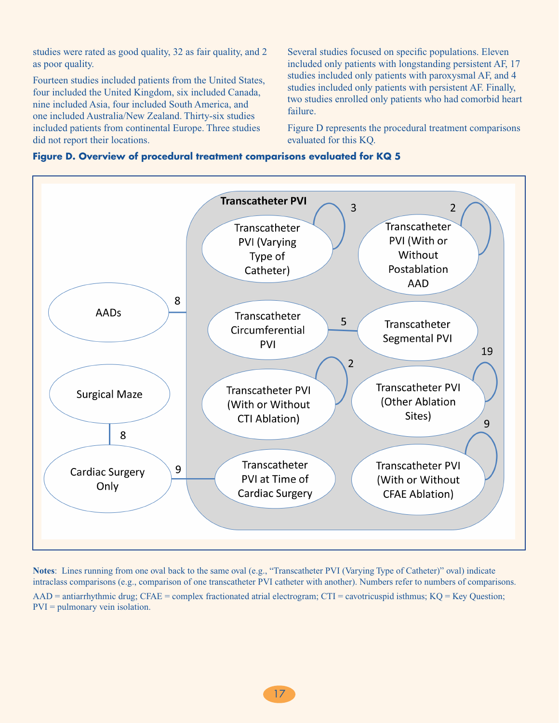studies were rated as good quality, 32 as fair quality, and 2 as poor quality.

Fourteen studies included patients from the United States, four included the United Kingdom, six included Canada, nine included Asia, four included South America, and one included Australia/New Zealand. Thirty-six studies included patients from continental Europe. Three studies did not report their locations.

Several studies focused on specific populations. Eleven included only patients with longstanding persistent AF, 17 studies included only patients with paroxysmal AF, and 4 studies included only patients with persistent AF. Finally, two studies enrolled only patients who had comorbid heart failure.

Figure D represents the procedural treatment comparisons evaluated for this KQ.





**Notes**: Lines running from one oval back to the same oval (e.g., "Transcatheter PVI (Varying Type of Catheter)" oval) indicate intraclass comparisons (e.g., comparison of one transcatheter PVI catheter with another). Numbers refer to numbers of comparisons.

AAD = antiarrhythmic drug; CFAE = complex fractionated atrial electrogram; CTI = cavotricuspid isthmus; KQ = Key Question; PVI = pulmonary vein isolation.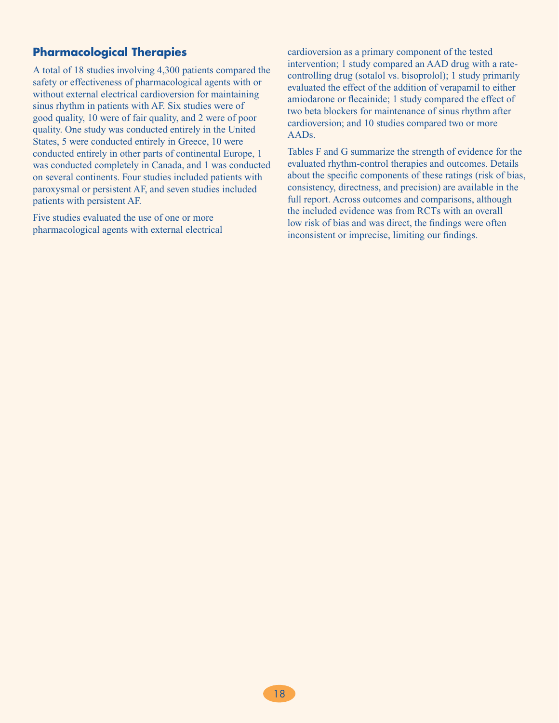# **Pharmacological Therapies**

A total of 18 studies involving 4,300 patients compared the safety or effectiveness of pharmacological agents with or without external electrical cardioversion for maintaining sinus rhythm in patients with AF. Six studies were of good quality, 10 were of fair quality, and 2 were of poor quality. One study was conducted entirely in the United States, 5 were conducted entirely in Greece, 10 were conducted entirely in other parts of continental Europe, 1 was conducted completely in Canada, and 1 was conducted on several continents. Four studies included patients with paroxysmal or persistent AF, and seven studies included patients with persistent AF.

Five studies evaluated the use of one or more pharmacological agents with external electrical cardioversion as a primary component of the tested intervention; 1 study compared an AAD drug with a ratecontrolling drug (sotalol vs. bisoprolol); 1 study primarily evaluated the effect of the addition of verapamil to either amiodarone or flecainide; 1 study compared the effect of two beta blockers for maintenance of sinus rhythm after cardioversion; and 10 studies compared two or more AADs.

Tables F and G summarize the strength of evidence for the evaluated rhythm-control therapies and outcomes. Details about the specific components of these ratings (risk of bias, consistency, directness, and precision) are available in the full report. Across outcomes and comparisons, although the included evidence was from RCTs with an overall low risk of bias and was direct, the findings were often inconsistent or imprecise, limiting our findings.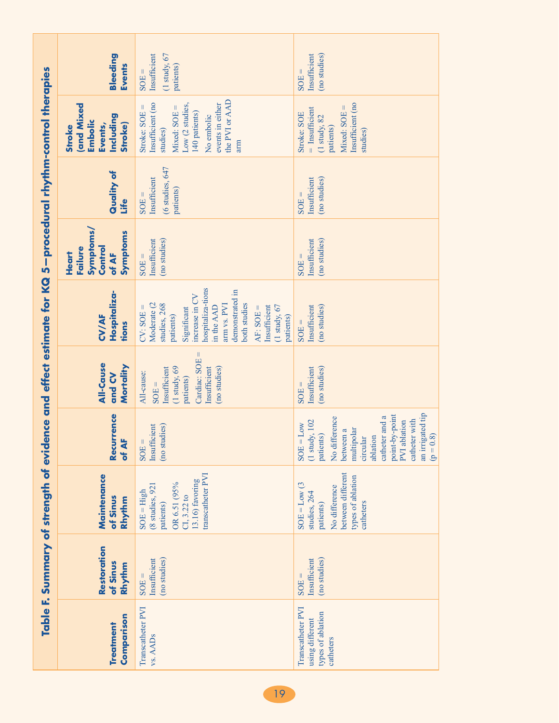|                                                                       | Bleeding<br>Events                                                                      | $(1$ study, $67$<br>Insufficient<br>patients)<br>$SOE =$                                                                                                                                                                                      | Insufficient<br>(no studies)<br>$SOE =$                                                                                                                                                                                   |
|-----------------------------------------------------------------------|-----------------------------------------------------------------------------------------|-----------------------------------------------------------------------------------------------------------------------------------------------------------------------------------------------------------------------------------------------|---------------------------------------------------------------------------------------------------------------------------------------------------------------------------------------------------------------------------|
| ence and effect estimate for KQ 5-procedural rhythm-control therapies | <b>and Mixed</b><br>Including<br>Embolic<br>Events,<br><b>Stroke</b> )<br><b>Stroke</b> | the PVI or AAD<br>Insufficient (no<br>events in either<br>Low (2 studies,<br>$Mixed: SOE =$<br>Stroke: $SOE =$<br>140 patients)<br>No embolic<br>studies)<br>arm                                                                              | Insufficient (no<br>$Mixed: SOE =$<br>$=$ Insufficient<br>Stroke: SOE<br>$(1 \text{ study}, 82)$<br>patients)<br>studies)                                                                                                 |
|                                                                       | Quality of<br>Life                                                                      | (6 studies, 647<br>Insufficient<br>patients)<br>$SOE =$                                                                                                                                                                                       | Insufficient<br>(no studies)<br>$SOE =$                                                                                                                                                                                   |
|                                                                       | Symptoms/<br>Symptoms<br>Control<br>Failure<br>Heart<br>of AF                           | Insufficient<br>(no studies)<br>$SOE =$                                                                                                                                                                                                       | (no studies)<br>Insufficient<br>$SOE =$                                                                                                                                                                                   |
|                                                                       | Hospitaliza-<br><b>CV/AF</b><br>tions                                                   | hospitaliza-tions<br>demonstrated in<br>increase in CV<br>Moderate (2<br>studies, 268<br>arm vs. PVI<br>both studies<br>$(1$ study, $67$<br>Insufficient<br>$CV: SOE =$<br>in the AAD<br>$AF: SOE =$<br>Significant<br>patients)<br>patients) | (no studies)<br>Insufficient<br>$SOE =$                                                                                                                                                                                   |
|                                                                       | All-Cause<br>Mortality<br>and CV                                                        | Ш<br>Cardiac: SOE<br>$(1 \text{ study}, 69)$<br>(no studies)<br>Insufficient<br>Insufficient<br>All-cause:<br>patients)<br>$SOE =$                                                                                                            | Insufficient<br>(no studies)<br>$SOE =$                                                                                                                                                                                   |
|                                                                       | Recurrence<br>of AF                                                                     | Insufficient<br>(no studies)<br>$\parallel$<br>SOE:                                                                                                                                                                                           | an irrigated tip<br>point-by-point<br>catheter and a<br>No difference<br>catheter with<br>PVI ablation<br>(1 study, 102<br>$SOE = Low$<br>multipolar<br>between a<br>(8, 0)<br>patients)<br>ablation<br>circular<br>$= d$ |
|                                                                       | Maintenance<br>of Sinus<br>Rhythm                                                       | transcatheter PVI<br>13.16) favoring<br>OR 6.51 (95%<br>(8 studies, 921<br>$SOE = High$<br>CI, 3.22 to<br>patients)                                                                                                                           | between different<br>types of ablation<br>$\mathcal{L}$<br>No difference<br>$SOE = Low$<br>studies, 264<br>catheters<br>patients)                                                                                         |
| Table F. Summary of strength of evid                                  | Restoration<br>of Sinus<br>Rhythm                                                       | (no studies)<br>Insufficient<br>$SOE =$                                                                                                                                                                                                       | Insufficient<br>(no studies)<br>$SOE =$                                                                                                                                                                                   |
|                                                                       | Comparison<br>Treatment                                                                 | Transcatheter PVI<br>vs. AADs                                                                                                                                                                                                                 | Transcatheter PVI<br>types of ablation<br>using different<br>catheters                                                                                                                                                    |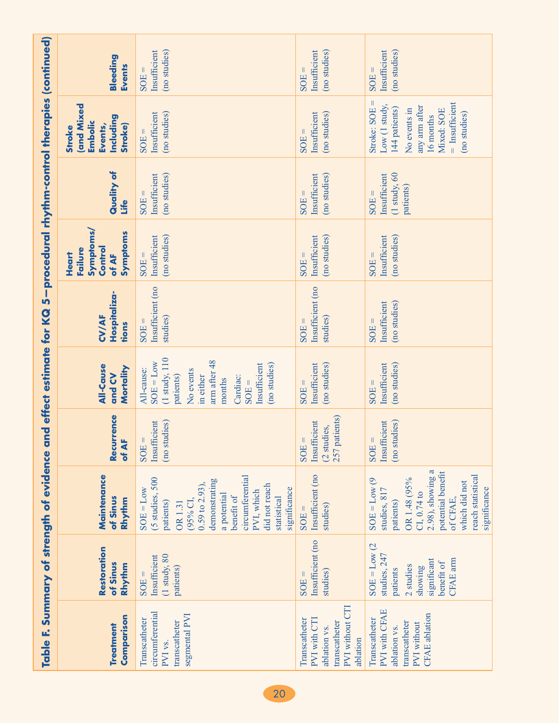|                                                                     | Bleeding<br>Events                                                               | Insufficient<br>(no studies)<br>SOE:                                                                                                                                                                                     | Insufficient<br>(no studies)<br>SOE                                                           | Insufficient<br>(no studies)<br>$SOE =$                                                                                                                                               |
|---------------------------------------------------------------------|----------------------------------------------------------------------------------|--------------------------------------------------------------------------------------------------------------------------------------------------------------------------------------------------------------------------|-----------------------------------------------------------------------------------------------|---------------------------------------------------------------------------------------------------------------------------------------------------------------------------------------|
|                                                                     | and Mixed<br>Including<br>Embolic<br>Events,<br><b>Stroke</b> )<br><b>Stroke</b> | (no studies)<br>Insufficient<br>SOE                                                                                                                                                                                      | (no studies)<br>Insufficient<br>$SOE =$                                                       | Ш<br>$=$ Insufficient<br>Low (1 study,<br>any arm after<br>Stroke: SOE<br>144 patients)<br>Mixed: SOE<br>No events in<br>(no studies)<br>16 months                                    |
| 5-procedural rhythm-control therapies (continued)                   | Quality of<br>Life                                                               | (no studies)<br>Insufficient<br>SOE:                                                                                                                                                                                     | Insufficient<br>(no studies)<br>SOE:                                                          | $(1 \text{ study}, 60)$<br>Insufficient<br>patients)<br>$SOE =$                                                                                                                       |
|                                                                     | <b>Symptoms/</b><br>Symptoms<br>Control<br>Failure<br><b>Heart</b><br>of AF      | (no studies)<br>Insufficient<br>$SOE =$                                                                                                                                                                                  | Insufficient<br>(no studies)<br>$SOE =$                                                       | (no studies)<br>Insufficient<br>$SOE =$                                                                                                                                               |
|                                                                     | Hospitaliza-<br><b>CV/AF</b><br>tions                                            | Insufficient (no<br>studies)<br>SOE:                                                                                                                                                                                     | Insufficient (no<br>studies)<br>$SOE =$                                                       | (no studies)<br>Insufficient<br>$SOE =$                                                                                                                                               |
|                                                                     | <b>All-Cause</b><br>Mortality<br>and CV                                          | $(1 \text{ study}, 110)$<br>arm after 48<br>$SOE = Low$<br>Insufficient<br>(no studies)<br>All-cause:<br>No events<br>patients)<br>in either<br>Cardiac:<br>months<br>$SOE =$                                            | Insufficient<br>(no studies)<br>$SOE =$                                                       | (no studies)<br>Insufficient<br>$SOE =$                                                                                                                                               |
|                                                                     | Recurrence<br>of AF                                                              | Insufficient<br>(no studies)<br>SOE                                                                                                                                                                                      | 257 patients)<br>Insufficient<br>(2 studies,<br>SOE                                           | Insufficient<br>(no studies)<br>SOE                                                                                                                                                   |
|                                                                     | Maintenance<br>of Sinus<br>Rhythm                                                | circumferential<br>(5 studies, 500<br>demonstrating<br>$0.59$ to $2.93$ ),<br>did not reach<br>significance<br>$SOE = Low$<br>PVI, which<br>a potential<br>benefit of<br>statistical<br>(95% CI,<br>patients)<br>OR 1.31 | Insufficient (no<br>studies)<br>$SOE =$                                                       | 2.98), showing a<br>potential benefit<br>reach statistical<br>$SOE = Low(9)$<br>OR 1.48 (95%<br>which did not<br>significance<br>studies, 817<br>CI, 0.74 to<br>of CFAE,<br>patients) |
|                                                                     | Restoration<br>of Sinus<br>Rhythm                                                | $(1 \text{ study}, 80)$<br>Insufficient<br>patients)<br>$SOE =$                                                                                                                                                          | Insufficient (no<br>studies)<br>$SOE =$                                                       | $SOE = Low (2$<br>studies, 247<br>CFAE arm<br>significant<br>benefit of<br>2 studies<br>showing<br>patients                                                                           |
| Table F. Summary of strength of evidence and effect estimate for KQ | Comparison<br><b>Treatment</b>                                                   | circumferential<br>segmental PVI<br>Transcatheter<br>transcatheter<br>PVI vs.                                                                                                                                            | PVI without CTI<br>Transcatheter<br>PVI with CTI<br>transcatheter<br>ablation vs.<br>ablation | PVI with CFAE<br><b>CFAE</b> ablation<br>Transcatheter<br>transcatheter<br>PVI without<br>ablation vs.                                                                                |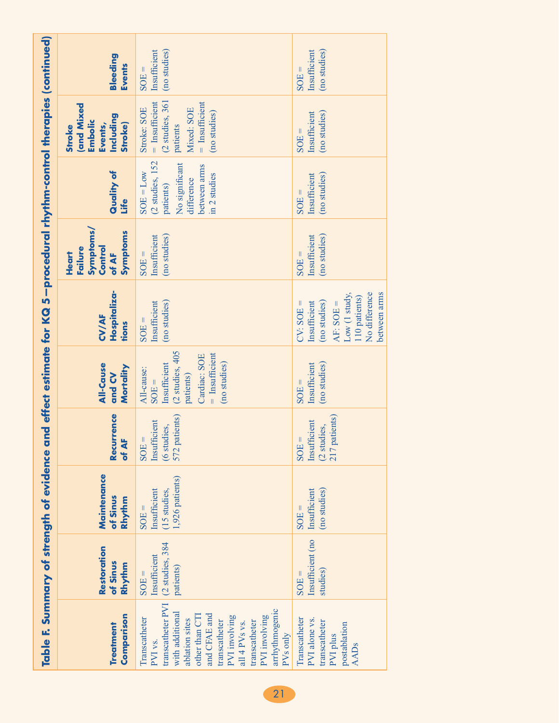|                                                                                                                       | Bleeding<br><b>Events</b>                                                        | (no studies)<br>Insufficient<br>$SOE =$                                                                                                                                                                                                             | (no studies)<br>Insufficient<br>$SOE =$                                                                                                 |
|-----------------------------------------------------------------------------------------------------------------------|----------------------------------------------------------------------------------|-----------------------------------------------------------------------------------------------------------------------------------------------------------------------------------------------------------------------------------------------------|-----------------------------------------------------------------------------------------------------------------------------------------|
|                                                                                                                       | <b>(and Mixed</b><br>Including<br>Embolic<br>Stroke)<br>Events,<br><b>Stroke</b> | (2 studies, 361<br>$=$ Insufficient<br>$=$ Insufficient<br>Mixed: SOE<br>Stroke: SOE<br>(no studies)<br>patients                                                                                                                                    | (no studies)<br>Insufficient<br>$SOE =$                                                                                                 |
|                                                                                                                       | Quality of<br><u>ufe</u>                                                         | (2 studies, 152<br>No significant<br>between arms<br>$SOE = Low$<br>in 2 studies<br>difference<br>patients)                                                                                                                                         | Insufficient<br>(no studies)<br>$SOE =$                                                                                                 |
|                                                                                                                       | <b>Symptoms/</b><br>Symptoms<br>Control<br><b>Failure</b><br>Heart<br>of AF      | Insufficient<br>(no studies)<br>$SOE =$                                                                                                                                                                                                             | (no studies)<br>Insufficient<br>$SOE =$                                                                                                 |
|                                                                                                                       | Hospitaliza-<br><b>CV/AF</b><br>tions                                            | (no studies)<br>Insufficient<br>$SOE =$                                                                                                                                                                                                             | No difference<br>between arms<br>Low $(1 \text{ study},$<br>110 patients)<br>(no studies)<br>Insufficient<br>$CV: SOE =$<br>$AF: SOE =$ |
|                                                                                                                       | <b>All-Cause</b><br>Mortality<br>and CV                                          | (2 studies, 405<br>$=$ Insufficient<br>Cardiac: SOE<br>(no studies)<br>Insufficient<br>All-cause:<br>patients)<br>$SOE =$                                                                                                                           | (no studies)<br>Insufficient<br>$SOE =$                                                                                                 |
|                                                                                                                       | Recurrence<br>of AF                                                              | 572 patients)<br>Insufficient<br>(6 studies,<br>$SOE =$                                                                                                                                                                                             | 217 patients)<br>Insufficient<br>(2 studies,<br>$SOE =$                                                                                 |
|                                                                                                                       | Maintenance<br>of Sinus<br>Rhythm                                                | 1,926 patients)<br>Insufficient<br>(15 studies,<br>$SOE =$                                                                                                                                                                                          | Insufficient<br>(no studies)<br>$SOE =$                                                                                                 |
|                                                                                                                       | Restoration<br>of Sinus<br>Rhythm                                                | (2 studies, 384<br>Insufficient<br>patients)<br>$SOE =$                                                                                                                                                                                             | Insufficient (no<br>studies)<br>$SOE =$                                                                                                 |
| Table F. Summary of strength of evidence and effect estimate for KQ 5—procedural rhythm-control therapies (continued) | Comparison<br>Treatment                                                          | transcatheter PVI<br>arrhythmogenic<br>with additional<br>and CFAE and<br>other than CT1<br>PVI involving<br>PVI involving<br>Transcatheter<br>ablation sites<br>transcatheter<br>transcatheter<br>all 4 PVs vs.<br>PV <sub>s</sub> only<br>PVI vs. | Transcatheter<br>PVI alone vs.<br>transcatheter<br>postablation<br>PVI plus<br><b>AADs</b>                                              |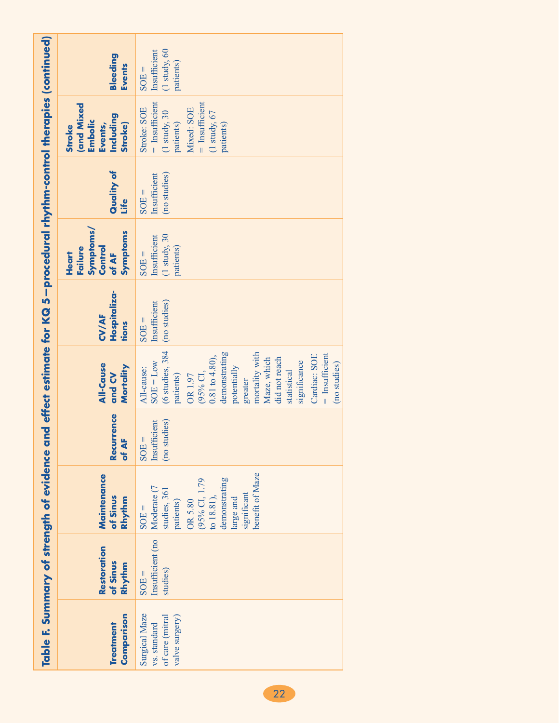|                                                                                                                       | Bleeding<br><b>Events</b>                                                       | $(1$ study, $60$<br>Insufficient<br>patients)<br>$SOE =$                                                                                                                                                                                                                                  |
|-----------------------------------------------------------------------------------------------------------------------|---------------------------------------------------------------------------------|-------------------------------------------------------------------------------------------------------------------------------------------------------------------------------------------------------------------------------------------------------------------------------------------|
|                                                                                                                       | <b>and Mixed</b><br>Including<br>Embolic<br>Stroke)<br>Events,<br><b>Stroke</b> | $=$ Insufficient<br>$=$ Insufficient<br>Stroke: SOE<br>Mixed: SOE<br>$(1 \text{ study}, 30)$<br>$(1 \text{ study}, 67)$<br>patients)<br>patients)                                                                                                                                         |
|                                                                                                                       | Quality of<br><u>ufe</u>                                                        | Insufficient<br>(no studies)<br>$SOE =$                                                                                                                                                                                                                                                   |
|                                                                                                                       | Symptoms/<br>Symptoms<br>Control<br>Failure<br>Heart<br>of AF                   | $(1 \text{ study}, 30)$<br>Insufficient<br>patients)<br>$SOE =$                                                                                                                                                                                                                           |
|                                                                                                                       | Hospitaliza-<br><b>CV/AF</b><br>tions                                           | (no studies)<br>Insufficient<br>$SOE =$                                                                                                                                                                                                                                                   |
|                                                                                                                       | All-Cause<br>Mortality<br>and CV                                                | (6 studies, 384<br>demonstrating<br>mortality with<br>$=$ Insufficient<br>Cardiac: SOE<br>$0.81$ to $4.80$ ),<br>did not reach<br>Maze, which<br>significance<br>$SOE = Low$<br>(no studies)<br>potentially<br>All-cause:<br>statistical<br>$(95%$ CI,<br>patients)<br>OR 1.97<br>greater |
|                                                                                                                       | Recurrence<br>of AF                                                             | (no studies)<br>Insufficient<br>$SOE =$                                                                                                                                                                                                                                                   |
|                                                                                                                       | Maintenance<br>of Sinus<br>Rhythm                                               | benefit of Maze<br>demonstrating<br>(95% CI, 1.79<br>Moderate (7<br>studies, 361<br>significant<br>to 18.81),<br>large and<br>OR 5.80<br>patients)<br>$SOE =$                                                                                                                             |
|                                                                                                                       | Restoration<br>of Sinus<br>Rhythm                                               | Insufficient (no<br>studies)<br>$SOE =$                                                                                                                                                                                                                                                   |
| Table F. Summary of strength of evidence and effect estimate for KQ 5—procedural rhythm-control therapies (continued) | Comparison<br><b>Treatment</b>                                                  | Surgical Maze<br>of care (mitral<br>valve surgery)<br>vs. standard                                                                                                                                                                                                                        |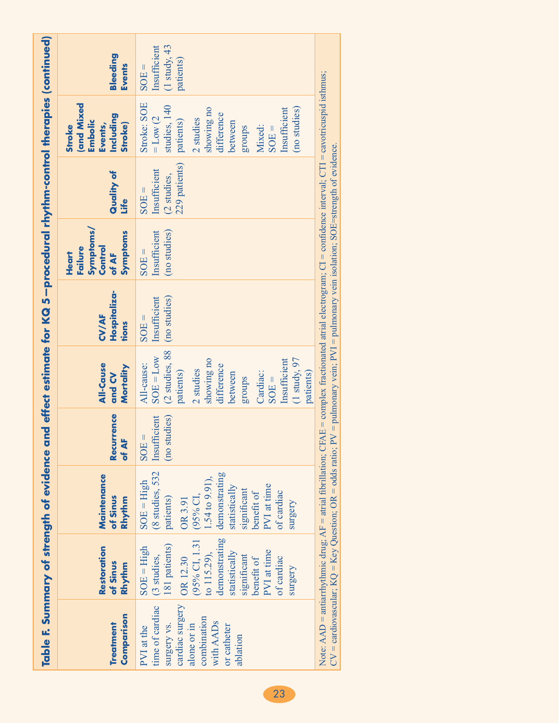|                                                                                                                                       |                                                                                                                                                                                                 | Table F. Summary of strength of evidence and effect estimate for KQ 5—procedural rhythm-control therapies (continued)                                                                                                                                                                                                                                                    |                                         |                                                                                                                                                                                                |                                         |                                                               |                                                         |                                                                                                                                                                                   |                                                        |
|---------------------------------------------------------------------------------------------------------------------------------------|-------------------------------------------------------------------------------------------------------------------------------------------------------------------------------------------------|--------------------------------------------------------------------------------------------------------------------------------------------------------------------------------------------------------------------------------------------------------------------------------------------------------------------------------------------------------------------------|-----------------------------------------|------------------------------------------------------------------------------------------------------------------------------------------------------------------------------------------------|-----------------------------------------|---------------------------------------------------------------|---------------------------------------------------------|-----------------------------------------------------------------------------------------------------------------------------------------------------------------------------------|--------------------------------------------------------|
| Comparison<br>Treatment                                                                                                               | Restoration<br>of Sinus<br>Rhythm                                                                                                                                                               | Maintenance<br>of Sinus<br>Rhythm                                                                                                                                                                                                                                                                                                                                        | Recurrence<br>of AF                     | <b>All-Cause</b><br>Mortality<br>and CV                                                                                                                                                        | Hospitaliza-<br><b>CV/AF</b><br>tions   | Symptoms/<br>Symptoms<br>Control<br>Failure<br>Heart<br>of AF | Quality of<br><u>e#il</u>                               | <b>and Mixed</b><br>Including<br><b>Embolic</b><br>Stroke)<br>Events,<br><b>Stroke</b>                                                                                            | Bleeding<br><b>Events</b>                              |
| time of cardiac<br>cardiac surgery<br>combination<br>with AADs<br>surgery vs.<br>alone or in<br>or catheter<br>PVI at the<br>ablation | demonstrating<br>(95% CI, 1.31<br>181 patients)<br>$SOE = High$<br>PVI at time<br>statistically<br>to 115.29),<br>(3 studies,<br>significant<br>OR 12.30<br>benefit of<br>of cardiac<br>surgery | 8 studies, 532<br>demonstrating<br>$.54 \text{ to } 9.91$ ),<br>$SOE = High$<br>PVI at time<br>statistically<br>significant<br>of cardiac<br>benefit of<br>patients)<br>$(95%$ CI<br>OR 3.91<br>surgery                                                                                                                                                                  | (no studies)<br>Insufficient<br>$SOE =$ | (2 studies, 88<br>$SOE = Low$<br>showing no<br>$(1$ study, $97$<br>Insufficient<br>All-cause:<br>difference<br>2 studies<br>patients)<br>Cardiac:<br>patients)<br>between<br>sdnora<br>$SOE =$ | (no studies)<br>Insufficient<br>$SOE =$ | (no studies)<br>Insufficient<br>$SOE =$                       | 229 patients)<br>Insufficient<br>(2 studies,<br>$SOE =$ | Stroke: SOE<br>studies, 140<br>(no studies)<br>showing no<br>Insufficient<br>difference<br>$=$ Low (2)<br>2 studies<br>patients)<br>between<br>Mixed:<br><b>groups</b><br>$SOE =$ | Insufficient<br>$(1$ study, 43<br>patients)<br>$SOE =$ |
|                                                                                                                                       |                                                                                                                                                                                                 | Note: AAD = antiarrhythmic drug; AF = atrial fibrillation; CFAE = complex fractionated atrial electrogram; CI = confidence interval; CTI = cavotricuspid isthmus;<br>$CV = \text{cardivascular}$ ; $KQ = Key \text{Question}$ ; $OR = \text{odds ratio}$ ; $PV = \text{pulmonary vein}$ ; $PVI = \text{pulmonary vein}$ isolation; $SOE = \text{strength of evidence}$ . |                                         |                                                                                                                                                                                                |                                         |                                                               |                                                         |                                                                                                                                                                                   |                                                        |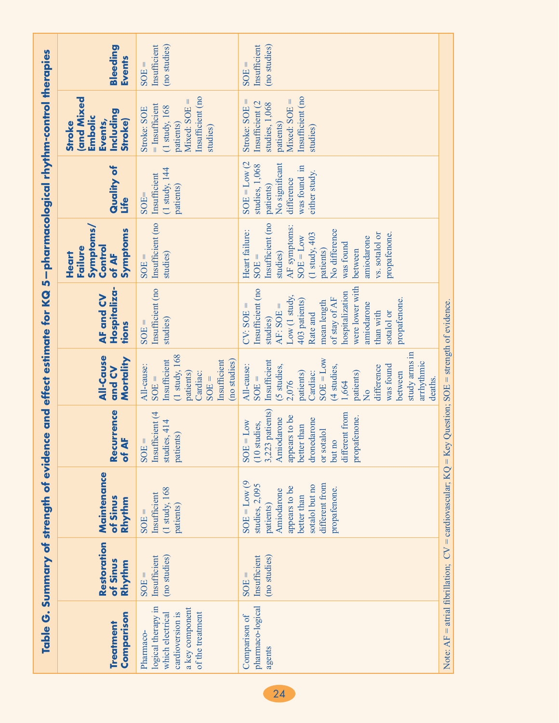|                                                                                                                |                                         | Table G. Summary of strength of eviden                                                                                                          |                                                                                                                                                                             |                                                                                                                                                                                                                                             | ce and effect estimate for KQ                                                                                                                                                                                                           | 5-pharmacological rhythm-control therapies                                                                                                                                                                      |                                                                                                                 |                                                                                                                            |                                         |
|----------------------------------------------------------------------------------------------------------------|-----------------------------------------|-------------------------------------------------------------------------------------------------------------------------------------------------|-----------------------------------------------------------------------------------------------------------------------------------------------------------------------------|---------------------------------------------------------------------------------------------------------------------------------------------------------------------------------------------------------------------------------------------|-----------------------------------------------------------------------------------------------------------------------------------------------------------------------------------------------------------------------------------------|-----------------------------------------------------------------------------------------------------------------------------------------------------------------------------------------------------------------|-----------------------------------------------------------------------------------------------------------------|----------------------------------------------------------------------------------------------------------------------------|-----------------------------------------|
| Comparison<br><b>Treatment</b>                                                                                 | Restoration<br>of Sinus<br>Rhythm       | Maintenance<br>of Sinus<br>Rhythm                                                                                                               | Recurrence<br>of AF                                                                                                                                                         | <b>All-Cause</b><br>Mortality<br>and CV                                                                                                                                                                                                     | Hospitaliza-<br>AF and CV<br>tions                                                                                                                                                                                                      | <b>Symptoms/</b><br>Symptoms<br>Control<br>Failure<br><b>Heart</b><br>of AF                                                                                                                                     | Quality of<br>Life                                                                                              | <b>and Mixed</b><br>Including<br>Embolic<br>Events,<br><b>Stroke</b> )<br><b>Stroke</b>                                    | Bleeding<br><b>Events</b>               |
| logical therapy in<br>a key component<br>cardioversion is<br>of the treatment<br>which electrical<br>Pharmaco- | Insufficient<br>(no studies)<br>$SOE =$ | $(1$ study, $168$<br>Insufficient<br>patients)<br>$SOE =$                                                                                       | Insufficient (4<br>studies, 414<br>patients)<br>SOE:                                                                                                                        | $(1 \text{ study}, 168)$<br>Insufficient<br>(no studies)<br>Insufficient<br>All-cause:<br>patients)<br>Cardiac:<br>$SOE =$<br>$SOE =$                                                                                                       | Insufficient (no<br>studies)<br>$SOE =$                                                                                                                                                                                                 | Insufficient (no<br>studies)<br>$SOE =$                                                                                                                                                                         | $(1 \text{ study}, 144)$<br>Insufficient<br>patients)<br>$SOE =$                                                | Insufficient (no<br>$Mixed: SOE =$<br>$=$ Insufficient<br>$(1 \text{ study}, 168)$<br>Stroke: SOE<br>patients)<br>studies) | (no studies)<br>Insufficient<br>$SOE =$ |
| pharmaco-logical<br>Comparison of<br>agents                                                                    | Insufficient<br>(no studies)<br>$SOE =$ | $SOE = Low(9)$<br>different from<br>studies, 2,095<br>sotalol but no<br>appears to be<br>propafenone.<br>Amiodarone<br>better than<br>patients) | patients)<br>different from<br>appears to be<br>propafenone.<br>Amiodarone<br>dronedarone<br>$= Low$<br>(10 studies,<br>better than<br>or sotalol<br>but no<br>3,223<br>SOE | study arms in<br>$SOE = Low$<br>Insufficient<br>arrhythmic<br>All-cause:<br>(4 studies,<br>was found<br>(5 studies,<br>difference<br>between<br>patients)<br>patients)<br>Cardiac:<br>$SOE =$<br>deaths.<br>2,076<br>1,664<br>$\frac{1}{2}$ | were lower with<br>Insufficient (no<br>hospitalization<br>Low (1 study,<br>of stay of AF<br>403 patients)<br>propafenone.<br>mean length<br>amiodarone<br>$AF: SOE =$<br>$CV: SOE =$<br>than with<br>sotalol or<br>Rate and<br>studies) | Insufficient (no<br>AF symptoms:<br>No difference<br>Heart failure:<br>vs. sotalol or<br>propafenone.<br>(1 study, 403<br>amiodarone<br>$SOE = Low$<br>was found<br>between<br>patients)<br>studies)<br>$SOE =$ | $SOE = Low (2)$<br>No significant<br>studies, 1,068<br>was found in<br>either study.<br>difference<br>patients) | Insufficient (no<br>$Mixed: SOE =$<br>Stroke: SOE =<br>Insufficient (2<br>studies, 1,068<br>patients)<br>studies)          | Insufficient<br>(no studies)<br>$SOE =$ |
|                                                                                                                |                                         | Note: AF = atrial fibrillation; $CV =$ cardiovascular; $KQ = Key$                                                                               |                                                                                                                                                                             | Question; $SOE$ = strength of evidence.                                                                                                                                                                                                     |                                                                                                                                                                                                                                         |                                                                                                                                                                                                                 |                                                                                                                 |                                                                                                                            |                                         |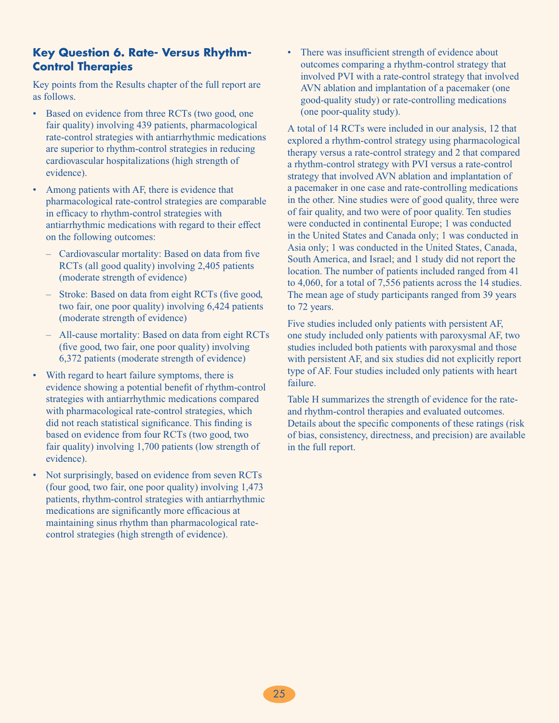# **Key Question 6. Rate- Versus Rhythm-Control Therapies**

Key points from the Results chapter of the full report are as follows.

- Based on evidence from three RCTs (two good, one fair quality) involving 439 patients, pharmacological rate-control strategies with antiarrhythmic medications are superior to rhythm-control strategies in reducing cardiovascular hospitalizations (high strength of evidence).
- Among patients with AF, there is evidence that pharmacological rate-control strategies are comparable in efficacy to rhythm-control strategies with antiarrhythmic medications with regard to their effect on the following outcomes:
	- Cardiovascular mortality: Based on data from five RCTs (all good quality) involving 2,405 patients (moderate strength of evidence)
	- Stroke: Based on data from eight RCTs (five good, two fair, one poor quality) involving 6,424 patients (moderate strength of evidence)
	- All-cause mortality: Based on data from eight RCTs (five good, two fair, one poor quality) involving 6,372 patients (moderate strength of evidence)
- • With regard to heart failure symptoms, there is evidence showing a potential benefit of rhythm-control strategies with antiarrhythmic medications compared with pharmacological rate-control strategies, which did not reach statistical significance. This finding is based on evidence from four RCTs (two good, two fair quality) involving 1,700 patients (low strength of evidence).
- Not surprisingly, based on evidence from seven RCTs (four good, two fair, one poor quality) involving 1,473 patients, rhythm-control strategies with antiarrhythmic medications are significantly more efficacious at maintaining sinus rhythm than pharmacological ratecontrol strategies (high strength of evidence).

There was insufficient strength of evidence about outcomes comparing a rhythm-control strategy that involved PVI with a rate-control strategy that involved AVN ablation and implantation of a pacemaker (one good-quality study) or rate-controlling medications (one poor-quality study).

A total of 14 RCTs were included in our analysis, 12 that explored a rhythm-control strategy using pharmacological therapy versus a rate-control strategy and 2 that compared a rhythm-control strategy with PVI versus a rate-control strategy that involved AVN ablation and implantation of a pacemaker in one case and rate-controlling medications in the other. Nine studies were of good quality, three were of fair quality, and two were of poor quality. Ten studies were conducted in continental Europe; 1 was conducted in the United States and Canada only; 1 was conducted in Asia only; 1 was conducted in the United States, Canada, South America, and Israel; and 1 study did not report the location. The number of patients included ranged from 41 to 4,060, for a total of 7,556 patients across the 14 studies. The mean age of study participants ranged from 39 years to 72 years.

Five studies included only patients with persistent AF, one study included only patients with paroxysmal AF, two studies included both patients with paroxysmal and those with persistent AF, and six studies did not explicitly report type of AF. Four studies included only patients with heart failure.

Table H summarizes the strength of evidence for the rateand rhythm-control therapies and evaluated outcomes. Details about the specific components of these ratings (risk of bias, consistency, directness, and precision) are available in the full report.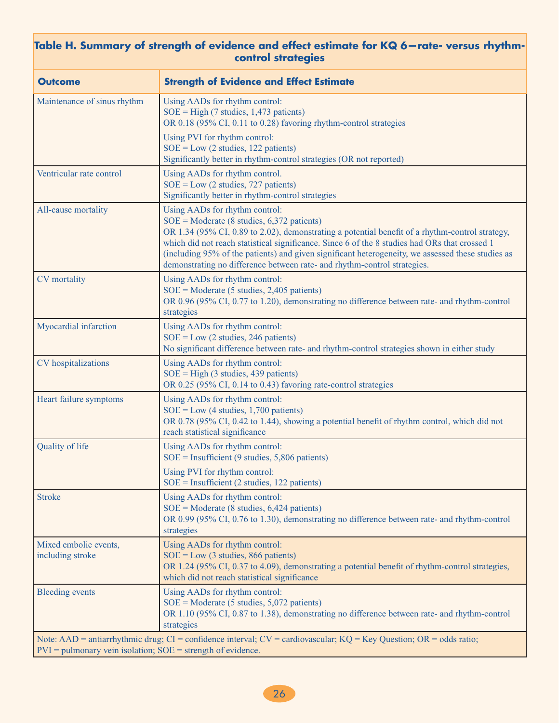### **Table H. Summary of strength of evidence and effect estimate for KQ 6—rate- versus rhythmcontrol strategies**

| <b>Outcome</b>                                                  | <b>Strength of Evidence and Effect Estimate</b>                                                                                                                                                                                                                                                                                                                                                                                                                                          |
|-----------------------------------------------------------------|------------------------------------------------------------------------------------------------------------------------------------------------------------------------------------------------------------------------------------------------------------------------------------------------------------------------------------------------------------------------------------------------------------------------------------------------------------------------------------------|
| Maintenance of sinus rhythm                                     | Using AADs for rhythm control:<br>$SOE = High (7 studies, 1,473 patients)$<br>OR 0.18 (95% CI, 0.11 to 0.28) favoring rhythm-control strategies                                                                                                                                                                                                                                                                                                                                          |
|                                                                 | Using PVI for rhythm control:<br>$SOE = Low (2 studies, 122 patients)$<br>Significantly better in rhythm-control strategies (OR not reported)                                                                                                                                                                                                                                                                                                                                            |
| Ventricular rate control                                        | Using AADs for rhythm control.<br>$SOE = Low (2 studies, 727 patients)$<br>Significantly better in rhythm-control strategies                                                                                                                                                                                                                                                                                                                                                             |
| All-cause mortality                                             | Using AADs for rhythm control:<br>$SOE = \text{Modern} (8 \text{ studies}, 6,372 \text{ patients})$<br>OR 1.34 (95% CI, 0.89 to 2.02), demonstrating a potential benefit of a rhythm-control strategy,<br>which did not reach statistical significance. Since 6 of the 8 studies had ORs that crossed 1<br>(including 95% of the patients) and given significant heterogeneity, we assessed these studies as<br>demonstrating no difference between rate- and rhythm-control strategies. |
| <b>CV</b> mortality                                             | Using AADs for rhythm control:<br>$SOE = \text{Modern}$ (5 studies, 2,405 patients)<br>OR 0.96 (95% CI, 0.77 to 1.20), demonstrating no difference between rate- and rhythm-control<br>strategies                                                                                                                                                                                                                                                                                        |
| Myocardial infarction                                           | Using AADs for rhythm control:<br>$SOE = Low (2 studies, 246 patients)$<br>No significant difference between rate- and rhythm-control strategies shown in either study                                                                                                                                                                                                                                                                                                                   |
| CV hospitalizations                                             | Using AADs for rhythm control:<br>$SOE = High (3 studies, 439 patients)$<br>OR 0.25 (95% CI, 0.14 to 0.43) favoring rate-control strategies                                                                                                                                                                                                                                                                                                                                              |
| Heart failure symptoms                                          | Using AADs for rhythm control:<br>$SOE = Low (4 studies, 1,700 patients)$<br>OR 0.78 (95% CI, 0.42 to 1.44), showing a potential benefit of rhythm control, which did not<br>reach statistical significance                                                                                                                                                                                                                                                                              |
| Quality of life                                                 | Using AADs for rhythm control:<br>$SOE = Insufficient (9 studies, 5,806 patients)$<br>Using PVI for rhythm control:<br>$SOE =$ Insufficient (2 studies, 122 patients)                                                                                                                                                                                                                                                                                                                    |
| <b>Stroke</b>                                                   | Using AADs for rhythm control:<br>$SOE = \text{Modern} (8 \text{ studies}, 6,424 \text{ patients})$<br>OR 0.99 (95% CI, 0.76 to 1.30), demonstrating no difference between rate- and rhythm-control<br>strategies                                                                                                                                                                                                                                                                        |
| Mixed embolic events,<br>including stroke                       | Using AADs for rhythm control:<br>$SOE = Low (3 studies, 866 patients)$<br>OR 1.24 (95% CI, 0.37 to 4.09), demonstrating a potential benefit of rhythm-control strategies,<br>which did not reach statistical significance                                                                                                                                                                                                                                                               |
| <b>Bleeding events</b>                                          | Using AADs for rhythm control:<br>$SOE = \text{Modern}$ (5 studies, 5,072 patients)<br>OR 1.10 (95% CI, 0.87 to 1.38), demonstrating no difference between rate- and rhythm-control<br>strategies                                                                                                                                                                                                                                                                                        |
| $PVI =$ pulmonary vein isolation; $SOE =$ strength of evidence. | Note: AAD = antiarrhythmic drug; CI = confidence interval; CV = cardiovascular; KQ = Key Question; OR = odds ratio;                                                                                                                                                                                                                                                                                                                                                                      |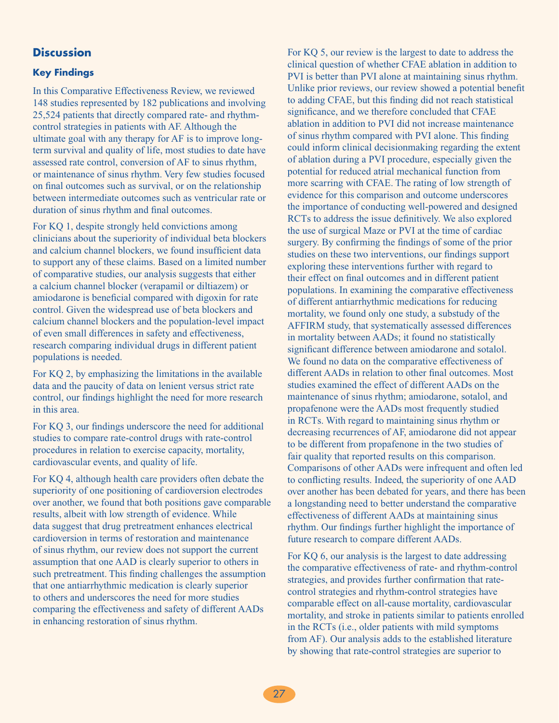### **Discussion**

#### **Key Findings**

In this Comparative Effectiveness Review, we reviewed 148 studies represented by 182 publications and involving 25,524 patients that directly compared rate- and rhythmcontrol strategies in patients with AF. Although the ultimate goal with any therapy for AF is to improve longterm survival and quality of life, most studies to date have assessed rate control, conversion of AF to sinus rhythm, or maintenance of sinus rhythm. Very few studies focused on final outcomes such as survival, or on the relationship between intermediate outcomes such as ventricular rate or duration of sinus rhythm and final outcomes.

For KQ 1, despite strongly held convictions among clinicians about the superiority of individual beta blockers and calcium channel blockers, we found insufficient data to support any of these claims. Based on a limited number of comparative studies, our analysis suggests that either a calcium channel blocker (verapamil or diltiazem) or amiodarone is beneficial compared with digoxin for rate control. Given the widespread use of beta blockers and calcium channel blockers and the population-level impact of even small differences in safety and effectiveness, research comparing individual drugs in different patient populations is needed.

For KQ 2, by emphasizing the limitations in the available data and the paucity of data on lenient versus strict rate control, our findings highlight the need for more research in this area.

For KQ 3, our findings underscore the need for additional studies to compare rate-control drugs with rate-control procedures in relation to exercise capacity, mortality, cardiovascular events, and quality of life.

For KQ 4, although health care providers often debate the superiority of one positioning of cardioversion electrodes over another, we found that both positions gave comparable results, albeit with low strength of evidence. While data suggest that drug pretreatment enhances electrical cardioversion in terms of restoration and maintenance of sinus rhythm, our review does not support the current assumption that one AAD is clearly superior to others in such pretreatment. This finding challenges the assumption that one antiarrhythmic medication is clearly superior to others and underscores the need for more studies comparing the effectiveness and safety of different AADs in enhancing restoration of sinus rhythm.

For KQ 5, our review is the largest to date to address the clinical question of whether CFAE ablation in addition to PVI is better than PVI alone at maintaining sinus rhythm. Unlike prior reviews, our review showed a potential benefit to adding CFAE, but this finding did not reach statistical significance, and we therefore concluded that CFAE ablation in addition to PVI did not increase maintenance of sinus rhythm compared with PVI alone. This finding could inform clinical decisionmaking regarding the extent of ablation during a PVI procedure, especially given the potential for reduced atrial mechanical function from more scarring with CFAE. The rating of low strength of evidence for this comparison and outcome underscores the importance of conducting well-powered and designed RCTs to address the issue definitively. We also explored the use of surgical Maze or PVI at the time of cardiac surgery. By confirming the findings of some of the prior studies on these two interventions, our findings support exploring these interventions further with regard to their effect on final outcomes and in different patient populations. In examining the comparative effectiveness of different antiarrhythmic medications for reducing mortality, we found only one study, a substudy of the AFFIRM study, that systematically assessed differences in mortality between AADs; it found no statistically significant difference between amiodarone and sotalol. We found no data on the comparative effectiveness of different AADs in relation to other final outcomes. Most studies examined the effect of different AADs on the maintenance of sinus rhythm; amiodarone, sotalol, and propafenone were the AADs most frequently studied in RCTs. With regard to maintaining sinus rhythm or decreasing recurrences of AF, amiodarone did not appear to be different from propafenone in the two studies of fair quality that reported results on this comparison. Comparisons of other AADs were infrequent and often led to conflicting results. Indeed, the superiority of one AAD over another has been debated for years, and there has been a longstanding need to better understand the comparative effectiveness of different AADs at maintaining sinus rhythm. Our findings further highlight the importance of future research to compare different AADs.

For KQ 6, our analysis is the largest to date addressing the comparative effectiveness of rate- and rhythm-control strategies, and provides further confirmation that ratecontrol strategies and rhythm-control strategies have comparable effect on all-cause mortality, cardiovascular mortality, and stroke in patients similar to patients enrolled in the RCTs (i.e., older patients with mild symptoms from AF). Our analysis adds to the established literature by showing that rate-control strategies are superior to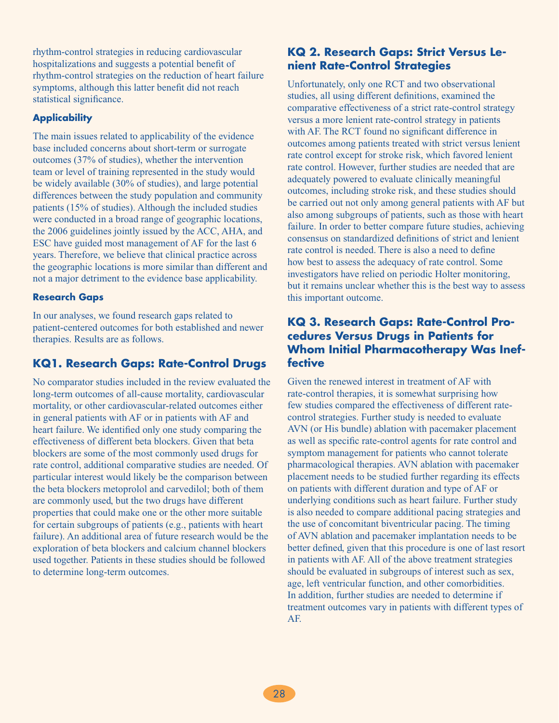rhythm-control strategies in reducing cardiovascular hospitalizations and suggests a potential benefit of rhythm-control strategies on the reduction of heart failure symptoms, although this latter benefit did not reach statistical significance.

### **Applicability**

The main issues related to applicability of the evidence base included concerns about short-term or surrogate outcomes (37% of studies), whether the intervention team or level of training represented in the study would be widely available (30% of studies), and large potential differences between the study population and community patients (15% of studies). Although the included studies were conducted in a broad range of geographic locations, the 2006 guidelines jointly issued by the ACC, AHA, and ESC have guided most management of AF for the last 6 years. Therefore, we believe that clinical practice across the geographic locations is more similar than different and not a major detriment to the evidence base applicability.

### **Research Gaps**

In our analyses, we found research gaps related to patient-centered outcomes for both established and newer therapies. Results are as follows.

# **KQ1. Research Gaps: Rate-Control Drugs**

No comparator studies included in the review evaluated the long-term outcomes of all-cause mortality, cardiovascular mortality, or other cardiovascular-related outcomes either in general patients with AF or in patients with AF and heart failure. We identified only one study comparing the effectiveness of different beta blockers. Given that beta blockers are some of the most commonly used drugs for rate control, additional comparative studies are needed. Of particular interest would likely be the comparison between the beta blockers metoprolol and carvedilol; both of them are commonly used, but the two drugs have different properties that could make one or the other more suitable for certain subgroups of patients (e.g., patients with heart failure). An additional area of future research would be the exploration of beta blockers and calcium channel blockers used together. Patients in these studies should be followed to determine long-term outcomes.

# **KQ 2. Research Gaps: Strict Versus Lenient Rate-Control Strategies**

Unfortunately, only one RCT and two observational studies, all using different definitions, examined the comparative effectiveness of a strict rate-control strategy versus a more lenient rate-control strategy in patients with AF. The RCT found no significant difference in outcomes among patients treated with strict versus lenient rate control except for stroke risk, which favored lenient rate control. However, further studies are needed that are adequately powered to evaluate clinically meaningful outcomes, including stroke risk, and these studies should be carried out not only among general patients with AF but also among subgroups of patients, such as those with heart failure. In order to better compare future studies, achieving consensus on standardized definitions of strict and lenient rate control is needed. There is also a need to define how best to assess the adequacy of rate control. Some investigators have relied on periodic Holter monitoring, but it remains unclear whether this is the best way to assess this important outcome.

### **KQ 3. Research Gaps: Rate-Control Procedures Versus Drugs in Patients for Whom Initial Pharmacotherapy Was Ineffective**

Given the renewed interest in treatment of AF with rate-control therapies, it is somewhat surprising how few studies compared the effectiveness of different ratecontrol strategies. Further study is needed to evaluate AVN (or His bundle) ablation with pacemaker placement as well as specific rate-control agents for rate control and symptom management for patients who cannot tolerate pharmacological therapies. AVN ablation with pacemaker placement needs to be studied further regarding its effects on patients with different duration and type of AF or underlying conditions such as heart failure. Further study is also needed to compare additional pacing strategies and the use of concomitant biventricular pacing. The timing of AVN ablation and pacemaker implantation needs to be better defined, given that this procedure is one of last resort in patients with AF. All of the above treatment strategies should be evaluated in subgroups of interest such as sex, age, left ventricular function, and other comorbidities. In addition, further studies are needed to determine if treatment outcomes vary in patients with different types of AF.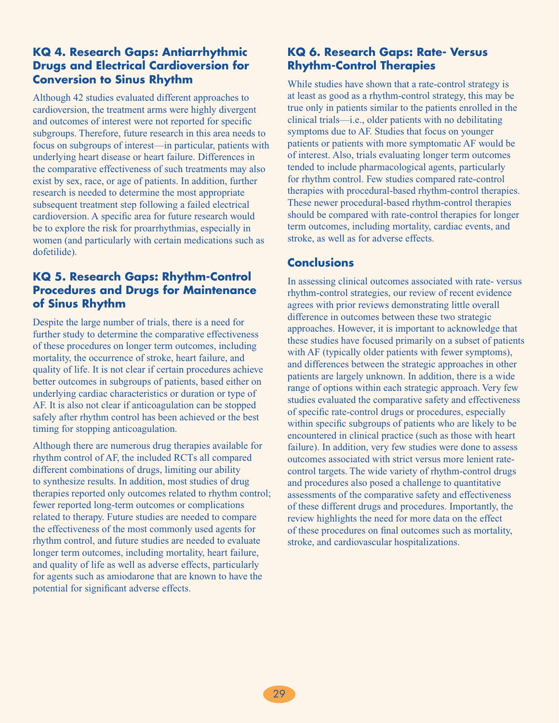# **KQ 4. Research Gaps: Antiarrhythmic Drugs and Electrical Cardioversion for Conversion to Sinus Rhythm**

Although 42 studies evaluated different approaches to cardioversion, the treatment arms were highly divergent and outcomes of interest were not reported for specific subgroups. Therefore, future research in this area needs to focus on subgroups of interest—in particular, patients with underlying heart disease or heart failure. Differences in the comparative effectiveness of such treatments may also exist by sex, race, or age of patients. In addition, further research is needed to determine the most appropriate subsequent treatment step following a failed electrical cardioversion. A specific area for future research would be to explore the risk for proarrhythmias, especially in women (and particularly with certain medications such as dofetilide).

# **KQ 5. Research Gaps: Rhythm-Control Procedures and Drugs for Maintenance of Sinus Rhythm**

Despite the large number of trials, there is a need for further study to determine the comparative effectiveness of these procedures on longer term outcomes, including mortality, the occurrence of stroke, heart failure, and quality of life. It is not clear if certain procedures achieve better outcomes in subgroups of patients, based either on underlying cardiac characteristics or duration or type of AF. It is also not clear if anticoagulation can be stopped safely after rhythm control has been achieved or the best timing for stopping anticoagulation.

Although there are numerous drug therapies available for rhythm control of AF, the included RCTs all compared different combinations of drugs, limiting our ability to synthesize results. In addition, most studies of drug therapies reported only outcomes related to rhythm control; fewer reported long-term outcomes or complications related to therapy. Future studies are needed to compare the effectiveness of the most commonly used agents for rhythm control, and future studies are needed to evaluate longer term outcomes, including mortality, heart failure, and quality of life as well as adverse effects, particularly for agents such as amiodarone that are known to have the potential for significant adverse effects.

# **KQ 6. Research Gaps: Rate- Versus Rhythm-Control Therapies**

While studies have shown that a rate-control strategy is at least as good as a rhythm-control strategy, this may be true only in patients similar to the patients enrolled in the clinical trials—i.e., older patients with no debilitating symptoms due to AF. Studies that focus on younger patients or patients with more symptomatic AF would be of interest. Also, trials evaluating longer term outcomes tended to include pharmacological agents, particularly for rhythm control. Few studies compared rate-control therapies with procedural-based rhythm-control therapies. These newer procedural-based rhythm-control therapies should be compared with rate-control therapies for longer term outcomes, including mortality, cardiac events, and stroke, as well as for adverse effects.

# **Conclusions**

In assessing clinical outcomes associated with rate- versus rhythm-control strategies, our review of recent evidence agrees with prior reviews demonstrating little overall difference in outcomes between these two strategic approaches. However, it is important to acknowledge that these studies have focused primarily on a subset of patients with AF (typically older patients with fewer symptoms), and differences between the strategic approaches in other patients are largely unknown. In addition, there is a wide range of options within each strategic approach. Very few studies evaluated the comparative safety and effectiveness of specific rate-control drugs or procedures, especially within specific subgroups of patients who are likely to be encountered in clinical practice (such as those with heart failure). In addition, very few studies were done to assess outcomes associated with strict versus more lenient ratecontrol targets. The wide variety of rhythm-control drugs and procedures also posed a challenge to quantitative assessments of the comparative safety and effectiveness of these different drugs and procedures. Importantly, the review highlights the need for more data on the effect of these procedures on final outcomes such as mortality, stroke, and cardiovascular hospitalizations.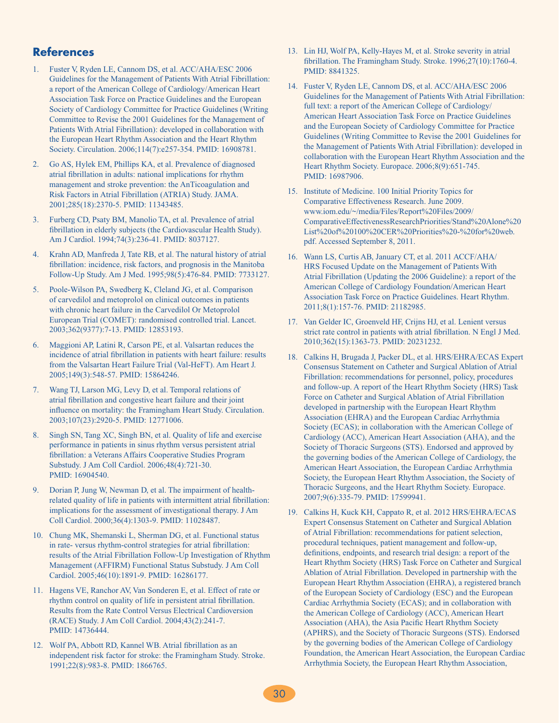### **References**

- 1. Fuster V, Ryden LE, Cannom DS, et al. ACC/AHA/ESC 2006 Guidelines for the Management of Patients With Atrial Fibrillation: a report of the American College of Cardiology/American Heart Association Task Force on Practice Guidelines and the European Society of Cardiology Committee for Practice Guidelines (Writing Committee to Revise the 2001 Guidelines for the Management of Patients With Atrial Fibrillation): developed in collaboration with the European Heart Rhythm Association and the Heart Rhythm Society. Circulation. 2006;114(7):e257-354. PMID: 16908781.
- 2. Go AS, Hylek EM, Phillips KA, et al. Prevalence of diagnosed atrial fibrillation in adults: national implications for rhythm management and stroke prevention: the AnTicoagulation and Risk Factors in Atrial Fibrillation (ATRIA) Study. JAMA. 2001;285(18):2370-5. PMID: 11343485.
- 3. Furberg CD, Psaty BM, Manolio TA, et al. Prevalence of atrial fibrillation in elderly subjects (the Cardiovascular Health Study). Am J Cardiol. 1994;74(3):236-41. PMID: 8037127.
- 4. Krahn AD, Manfreda J, Tate RB, et al. The natural history of atrial fibrillation: incidence, risk factors, and prognosis in the Manitoba Follow-Up Study. Am J Med. 1995;98(5):476-84. PMID: 7733127.
- 5. Poole-Wilson PA, Swedberg K, Cleland JG, et al. Comparison of carvedilol and metoprolol on clinical outcomes in patients with chronic heart failure in the Carvedilol Or Metoprolol European Trial (COMET): randomised controlled trial. Lancet. 2003;362(9377):7-13. PMID: 12853193.
- 6. Maggioni AP, Latini R, Carson PE, et al. Valsartan reduces the incidence of atrial fibrillation in patients with heart failure: results from the Valsartan Heart Failure Trial (Val-HeFT). Am Heart J. 2005;149(3):548-57. PMID: 15864246.
- 7. Wang TJ, Larson MG, Levy D, et al. Temporal relations of atrial fibrillation and congestive heart failure and their joint influence on mortality: the Framingham Heart Study. Circulation. 2003;107(23):2920-5. PMID: 12771006.
- 8. Singh SN, Tang XC, Singh BN, et al. Quality of life and exercise performance in patients in sinus rhythm versus persistent atrial fibrillation: a Veterans Affairs Cooperative Studies Program Substudy. J Am Coll Cardiol. 2006;48(4):721-30. PMID: 16904540.
- 9. Dorian P, Jung W, Newman D, et al. The impairment of healthrelated quality of life in patients with intermittent atrial fibrillation: implications for the assessment of investigational therapy. J Am Coll Cardiol. 2000;36(4):1303-9. PMID: 11028487.
- 10. Chung MK, Shemanski L, Sherman DG, et al. Functional status in rate- versus rhythm-control strategies for atrial fibrillation: results of the Atrial Fibrillation Follow-Up Investigation of Rhythm Management (AFFIRM) Functional Status Substudy. J Am Coll Cardiol. 2005;46(10):1891-9. PMID: 16286177.
- 11. Hagens VE, Ranchor AV, Van Sonderen E, et al. Effect of rate or rhythm control on quality of life in persistent atrial fibrillation. Results from the Rate Control Versus Electrical Cardioversion (RACE) Study. J Am Coll Cardiol. 2004;43(2):241-7. PMID: 14736444.
- 12. Wolf PA, Abbott RD, Kannel WB. Atrial fibrillation as an independent risk factor for stroke: the Framingham Study. Stroke. 1991;22(8):983-8. PMID: 1866765.
- 13. Lin HJ, Wolf PA, Kelly-Hayes M, et al. Stroke severity in atrial fibrillation. The Framingham Study. Stroke. 1996;27(10):1760-4. PMID: 8841325.
- 14. Fuster V, Ryden LE, Cannom DS, et al. ACC/AHA/ESC 2006 Guidelines for the Management of Patients With Atrial Fibrillation: full text: a report of the American College of Cardiology/ American Heart Association Task Force on Practice Guidelines and the European Society of Cardiology Committee for Practice Guidelines (Writing Committee to Revise the 2001 Guidelines for the Management of Patients With Atrial Fibrillation): developed in collaboration with the European Heart Rhythm Association and the Heart Rhythm Society. Europace. 2006;8(9):651-745. PMID: 16987906.
- 15. Institute of Medicine. 100 Initial Priority Topics for Comparative Effectiveness Research. June 2009. www.iom.edu/~/media/Files/Report%20Files/2009/ ComparativeEffectivenessResearchPriorities/Stand%20Alone%20 List%20of%20100%20CER%20Priorities%20-%20for%20web. pdf. Accessed September 8, 2011.
- 16. Wann LS, Curtis AB, January CT, et al. 2011 ACCF/AHA/ HRS Focused Update on the Management of Patients With Atrial Fibrillation (Updating the 2006 Guideline): a report of the American College of Cardiology Foundation/American Heart Association Task Force on Practice Guidelines. Heart Rhythm. 2011;8(1):157-76. PMID: 21182985.
- 17. Van Gelder IC, Groenveld HF, Crijns HJ, et al. Lenient versus strict rate control in patients with atrial fibrillation. N Engl J Med. 2010;362(15):1363-73. PMID: 20231232.
- 18. Calkins H, Brugada J, Packer DL, et al. HRS/EHRA/ECAS Expert Consensus Statement on Catheter and Surgical Ablation of Atrial Fibrillation: recommendations for personnel, policy, procedures and follow-up. A report of the Heart Rhythm Society (HRS) Task Force on Catheter and Surgical Ablation of Atrial Fibrillation developed in partnership with the European Heart Rhythm Association (EHRA) and the European Cardiac Arrhythmia Society (ECAS); in collaboration with the American College of Cardiology (ACC), American Heart Association (AHA), and the Society of Thoracic Surgeons (STS). Endorsed and approved by the governing bodies of the American College of Cardiology, the American Heart Association, the European Cardiac Arrhythmia Society, the European Heart Rhythm Association, the Society of Thoracic Surgeons, and the Heart Rhythm Society. Europace. 2007;9(6):335-79. PMID: 17599941.
- 19. Calkins H, Kuck KH, Cappato R, et al. 2012 HRS/EHRA/ECAS Expert Consensus Statement on Catheter and Surgical Ablation of Atrial Fibrillation: recommendations for patient selection, procedural techniques, patient management and follow-up, definitions, endpoints, and research trial design: a report of the Heart Rhythm Society (HRS) Task Force on Catheter and Surgical Ablation of Atrial Fibrillation. Developed in partnership with the European Heart Rhythm Association (EHRA), a registered branch of the European Society of Cardiology (ESC) and the European Cardiac Arrhythmia Society (ECAS); and in collaboration with the American College of Cardiology (ACC), American Heart Association (AHA), the Asia Pacific Heart Rhythm Society (APHRS), and the Society of Thoracic Surgeons (STS). Endorsed by the governing bodies of the American College of Cardiology Foundation, the American Heart Association, the European Cardiac Arrhythmia Society, the European Heart Rhythm Association,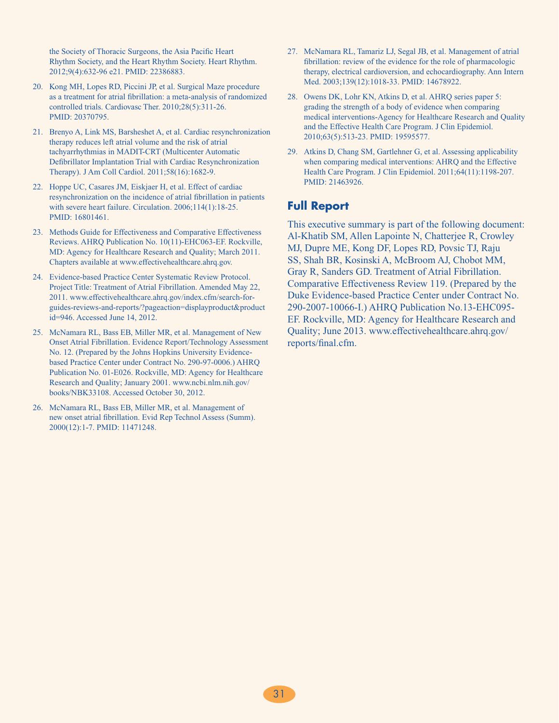the Society of Thoracic Surgeons, the Asia Pacific Heart Rhythm Society, and the Heart Rhythm Society. Heart Rhythm. 2012;9(4):632-96 e21. PMID: 22386883.

- 20. Kong MH, Lopes RD, Piccini JP, et al. Surgical Maze procedure as a treatment for atrial fibrillation: a meta-analysis of randomized controlled trials. Cardiovasc Ther. 2010;28(5):311-26. PMID: 20370795.
- 21. Brenyo A, Link MS, Barsheshet A, et al. Cardiac resynchronization therapy reduces left atrial volume and the risk of atrial tachyarrhythmias in MADIT-CRT (Multicenter Automatic Defibrillator Implantation Trial with Cardiac Resynchronization Therapy). J Am Coll Cardiol. 2011;58(16):1682-9.
- 22. Hoppe UC, Casares JM, Eiskjaer H, et al. Effect of cardiac resynchronization on the incidence of atrial fibrillation in patients with severe heart failure. Circulation. 2006;114(1):18-25. PMID: 16801461.
- 23. Methods Guide for Effectiveness and Comparative Effectiveness Reviews. AHRQ Publication No. 10(11)-EHC063-EF. Rockville, MD: Agency for Healthcare Research and Quality; March 2011. Chapters available at www.effectivehealthcare.ahrq.gov.
- 24. Evidence-based Practice Center Systematic Review Protocol. Project Title: Treatment of Atrial Fibrillation. Amended May 22, 2011. www.effectivehealthcare.ahrq.gov/index.cfm/search-forguides-reviews-and-reports/?pageaction=displayproduct&product id=946. Accessed June 14, 2012.
- 25. McNamara RL, Bass EB, Miller MR, et al. Management of New Onset Atrial Fibrillation. Evidence Report/Technology Assessment No. 12. (Prepared by the Johns Hopkins University Evidencebased Practice Center under Contract No. 290-97-0006.) AHRQ Publication No. 01-E026. Rockville, MD: Agency for Healthcare Research and Quality; January 2001. www.ncbi.nlm.nih.gov/ books/NBK33108. Accessed October 30, 2012.
- 26. McNamara RL, Bass EB, Miller MR, et al. Management of new onset atrial fibrillation. Evid Rep Technol Assess (Summ). 2000(12):1-7. PMID: 11471248.
- 27. McNamara RL, Tamariz LJ, Segal JB, et al. Management of atrial fibrillation: review of the evidence for the role of pharmacologic therapy, electrical cardioversion, and echocardiography. Ann Intern Med. 2003;139(12):1018-33. PMID: 14678922.
- 28. Owens DK, Lohr KN, Atkins D, et al. AHRQ series paper 5: grading the strength of a body of evidence when comparing medical interventions-Agency for Healthcare Research and Quality and the Effective Health Care Program. J Clin Epidemiol. 2010;63(5):513-23. PMID: 19595577.
- 29. Atkins D, Chang SM, Gartlehner G, et al. Assessing applicability when comparing medical interventions: AHRQ and the Effective Health Care Program. J Clin Epidemiol. 2011;64(11):1198-207. PMID: 21463926.

# **Full Report**

This executive summary is part of the following document: Al-Khatib SM, Allen Lapointe N, Chatterjee R, Crowley MJ, Dupre ME, Kong DF, Lopes RD, Povsic TJ, Raju SS, Shah BR, Kosinski A, McBroom AJ, Chobot MM, Gray R, Sanders GD. Treatment of Atrial Fibrillation. Comparative Effectiveness Review 119. (Prepared by the Duke Evidence-based Practice Center under Contract No. 290-2007-10066-I.) AHRQ Publication No.13-EHC095- EF. Rockville, MD: Agency for Healthcare Research and Quality; June 2013. www.effectivehealthcare.ahrq.gov/ reports/final.cfm.